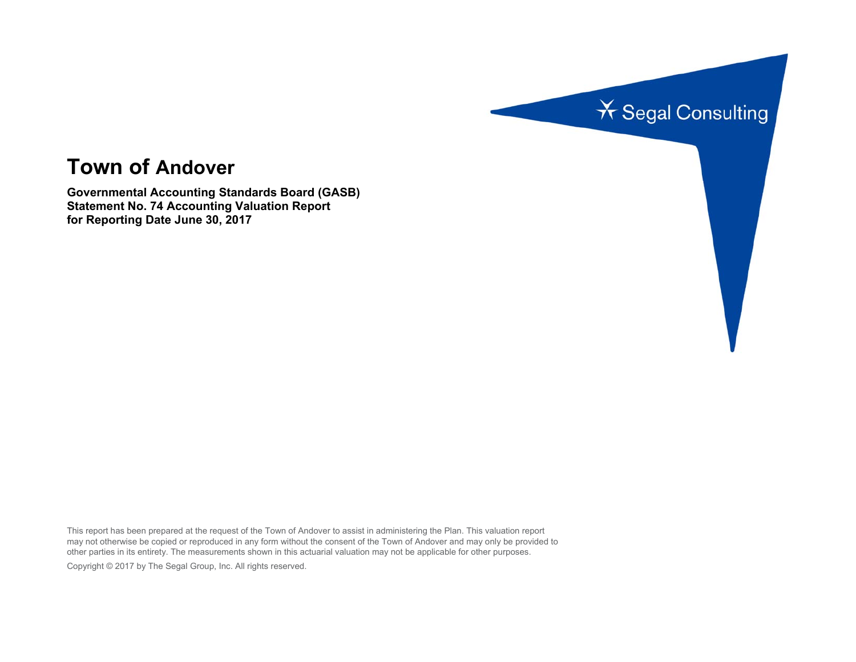

# **Town of Andover**

**Governmental Accounting Standards Board (GASB) Statement No. 74 Accounting Valuation Report for Reporting Date June 30, 2017** 

This report has been prepared at the request of the Town of Andover to assist in administering the Plan. This valuation report may not otherwise be copied or reproduced in any form without the consent of the Town of Andover and may only be provided to other parties in its entirety. The measurements shown in this actuarial valuation may not be applicable for other purposes. Copyright © 2017 by The Segal Group, Inc. All rights reserved.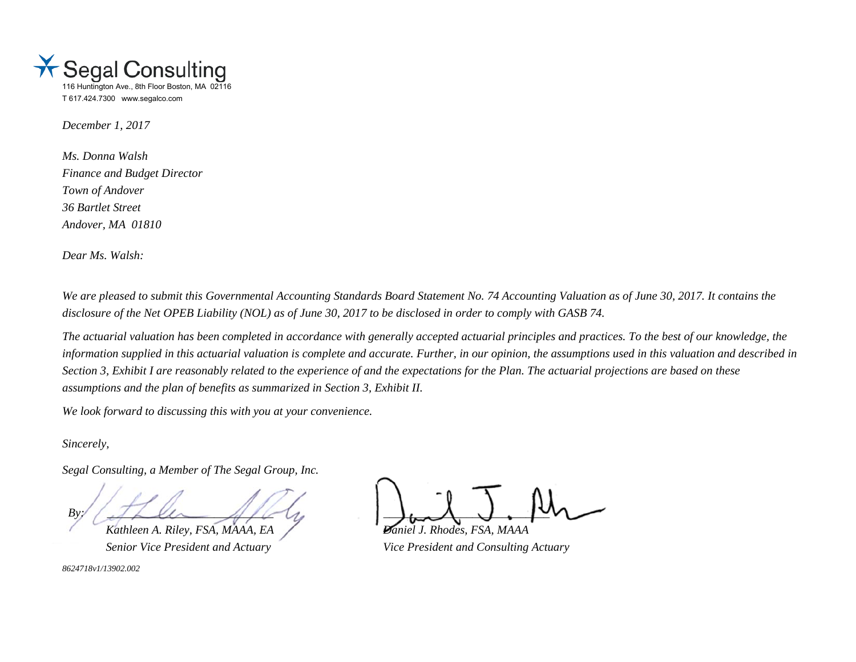

*December 1, 2017* 

*Ms. Donna Walsh Finance and Budget Director Town of Andover 36 Bartlet Street Andover, MA 01810* 

*Dear Ms. Walsh:* 

*We are pleased to submit this Governmental Accounting Standards Board Statement No. 74 Accounting Valuation as of June 30, 2017. It contains the disclosure of the Net OPEB Liability (NOL) as of June 30, 2017 to be disclosed in order to comply with GASB 74.* 

*The actuarial valuation has been completed in accordance with generally accepted actuarial principles and practices. To the best of our knowledge, the information supplied in this actuarial valuation is complete and accurate. Further, in our opinion, the assumptions used in this valuation and described in Section 3, Exhibit I are reasonably related to the experience of and the expectations for the Plan. The actuarial projections are based on these assumptions and the plan of benefits as summarized in Section 3, Exhibit II.* 

*We look forward to discussing this with you at your convenience.* 

*Sincerely,* 

*Segal Consulting, a Member of The Segal Group, Inc.* 

 $By'$  and  $By'$  and  $By'$  and  $Bz'$ *Kathleen A. Riley, FSA, MAAA, EA Daniel J. Rhodes, FSA, MAAA* 

*8624718v1/13902.002*

*Senior Vice President and Actuary Vice President and Consulting Actuary*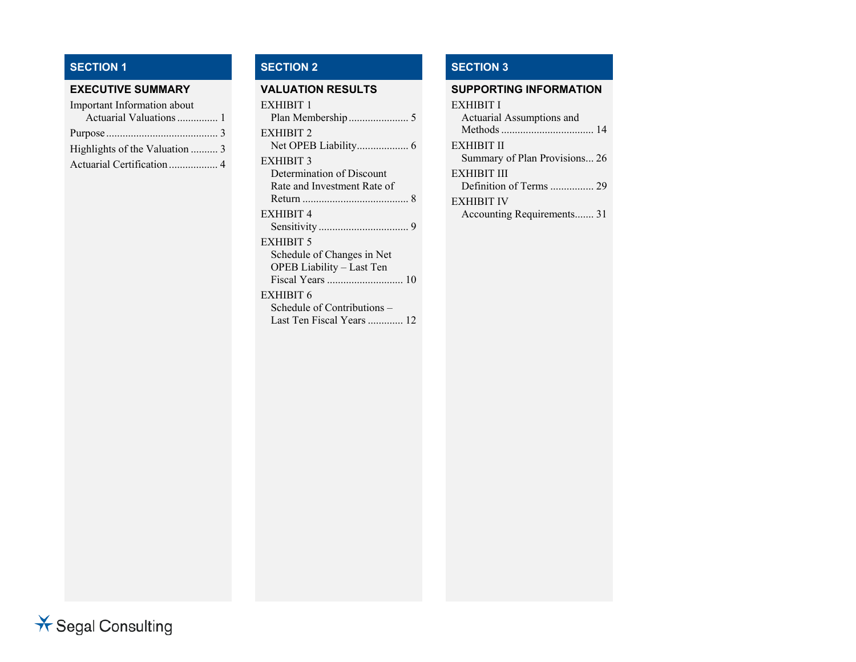# **SECTION 1**

| Important Information about    |  |
|--------------------------------|--|
| Actuarial Valuations  1        |  |
|                                |  |
| Highlights of the Valuation  3 |  |
| Actuarial Certification 4      |  |
|                                |  |

# **SECTION 2 SECTION 3**

| EXHIBIT 1                   |
|-----------------------------|
|                             |
| EXHIBIT 2                   |
|                             |
| EXHIBIT 3                   |
| Determination of Discount   |
| Rate and Investment Rate of |
|                             |
| EXHIBIT 4                   |
|                             |
| EXHIBIT 5                   |
| Schedule of Changes in Net  |
| OPEB Liability – Last Ten   |
|                             |
| EXHIBIT 6                   |
| Schedule of Contributions – |

Last Ten Fiscal Years ............. 12

#### **EXECUTIVE SUMMARY VALUATION RESULTS SUPPORTING INFORMATION**

#### EXHIBIT I

| Actuarial Assumptions and     |  |
|-------------------------------|--|
|                               |  |
| <b>EXHIBIT II</b>             |  |
| Summary of Plan Provisions 26 |  |
| <b>EXHIBIT III</b>            |  |
| Definition of Terms  29       |  |
| <b>EXHIBIT IV</b>             |  |
| Accounting Requirements 31    |  |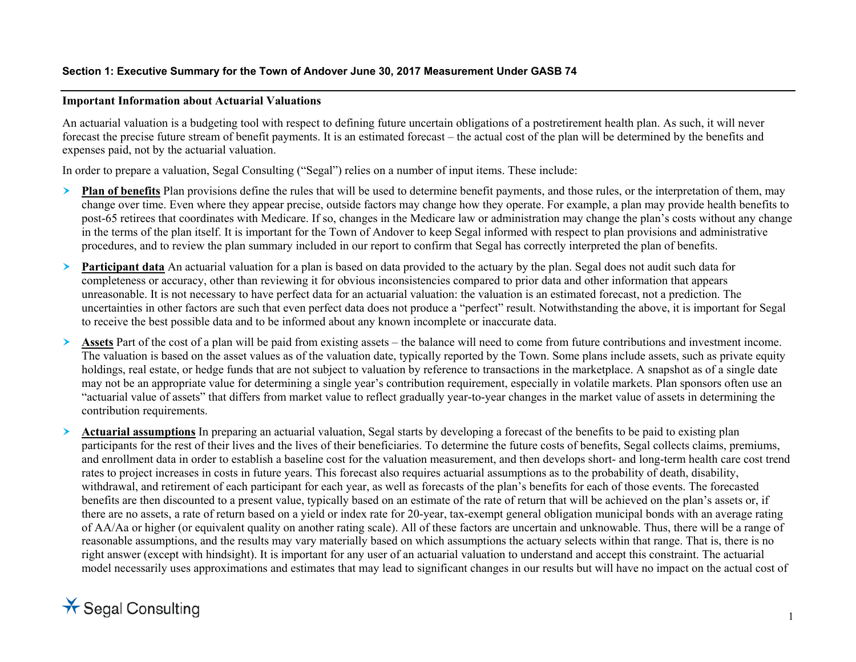# **Important Information about Actuarial Valuations**

An actuarial valuation is a budgeting tool with respect to defining future uncertain obligations of a postretirement health plan. As such, it will never forecast the precise future stream of benefit payments. It is an estimated forecast – the actual cost of the plan will be determined by the benefits and expenses paid, not by the actuarial valuation.

In order to prepare a valuation, Segal Consulting ("Segal") relies on a number of input items. These include:

- ➤ **Plan of benefits** Plan provisions define the rules that will be used to determine benefit payments, and those rules, or the interpretation of them, may change over time. Even where they appear precise, outside factors may change how they operate. For example, a plan may provide health benefits to post-65 retirees that coordinates with Medicare. If so, changes in the Medicare law or administration may change the plan's costs without any change in the terms of the plan itself. It is important for the Town of Andover to keep Segal informed with respect to plan provisions and administrative procedures, and to review the plan summary included in our report to confirm that Segal has correctly interpreted the plan of benefits.
- ≻ **Participant data** An actuarial valuation for a plan is based on data provided to the actuary by the plan. Segal does not audit such data for completeness or accuracy, other than reviewing it for obvious inconsistencies compared to prior data and other information that appears unreasonable. It is not necessary to have perfect data for an actuarial valuation: the valuation is an estimated forecast, not a prediction. The uncertainties in other factors are such that even perfect data does not produce a "perfect" result. Notwithstanding the above, it is important for Segal to receive the best possible data and to be informed about any known incomplete or inaccurate data.
- ➤ **Assets** Part of the cost of a plan will be paid from existing assets – the balance will need to come from future contributions and investment income. The valuation is based on the asset values as of the valuation date, typically reported by the Town. Some plans include assets, such as private equity holdings, real estate, or hedge funds that are not subject to valuation by reference to transactions in the marketplace. A snapshot as of a single date may not be an appropriate value for determining a single year's contribution requirement, especially in volatile markets. Plan sponsors often use an "actuarial value of assets" that differs from market value to reflect gradually year-to-year changes in the market value of assets in determining the contribution requirements.
- ➤ **Actuarial assumptions** In preparing an actuarial valuation, Segal starts by developing a forecast of the benefits to be paid to existing plan participants for the rest of their lives and the lives of their beneficiaries. To determine the future costs of benefits, Segal collects claims, premiums, and enrollment data in order to establish a baseline cost for the valuation measurement, and then develops short- and long-term health care cost trend rates to project increases in costs in future years. This forecast also requires actuarial assumptions as to the probability of death, disability, withdrawal, and retirement of each participant for each year, as well as forecasts of the plan's benefits for each of those events. The forecasted benefits are then discounted to a present value, typically based on an estimate of the rate of return that will be achieved on the plan's assets or, if there are no assets, a rate of return based on a yield or index rate for 20-year, tax-exempt general obligation municipal bonds with an average rating of AA/Aa or higher (or equivalent quality on another rating scale). All of these factors are uncertain and unknowable. Thus, there will be a range of reasonable assumptions, and the results may vary materially based on which assumptions the actuary selects within that range. That is, there is no right answer (except with hindsight). It is important for any user of an actuarial valuation to understand and accept this constraint. The actuarial model necessarily uses approximations and estimates that may lead to significant changes in our results but will have no impact on the actual cost of

# $\star$  Segal Consulting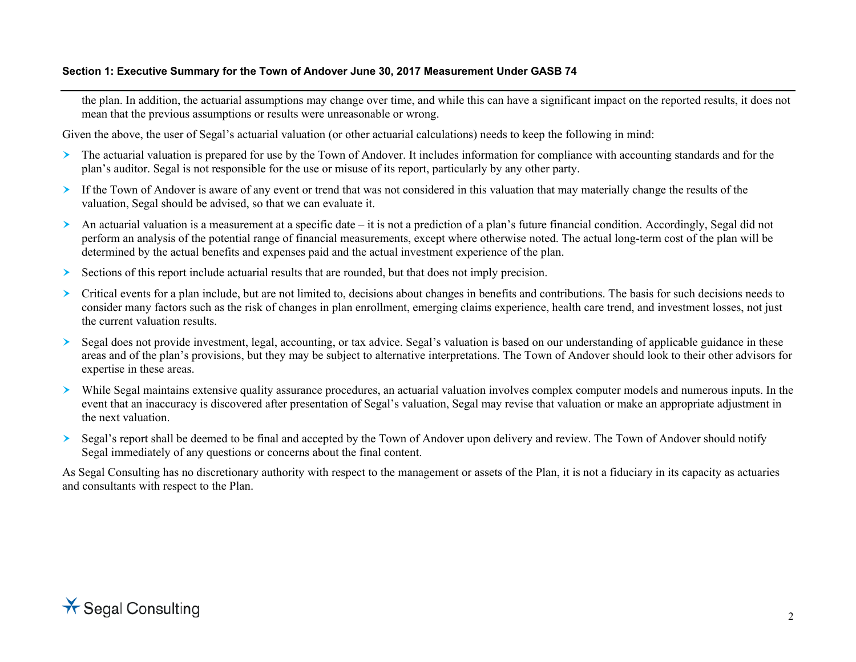# **Section 1: Executive Summary for the Town of Andover June 30, 2017 Measurement Under GASB 74**

the plan. In addition, the actuarial assumptions may change over time, and while this can have a significant impact on the reported results, it does not mean that the previous assumptions or results were unreasonable or wrong.

Given the above, the user of Segal's actuarial valuation (or other actuarial calculations) needs to keep the following in mind:

- The actuarial valuation is prepared for use by the Town of Andover. It includes information for compliance with accounting standards and for the plan's auditor. Segal is not responsible for the use or misuse of its report, particularly by any other party.
- If the Town of Andover is aware of any event or trend that was not considered in this valuation that may materially change the results of the valuation, Segal should be advised, so that we can evaluate it.
- An actuarial valuation is a measurement at a specific date it is not a prediction of a plan's future financial condition. Accordingly, Segal did not perform an analysis of the potential range of financial measurements, except where otherwise noted. The actual long-term cost of the plan will be determined by the actual benefits and expenses paid and the actual investment experience of the plan.
- $\triangleright$  Sections of this report include actuarial results that are rounded, but that does not imply precision.
- Critical events for a plan include, but are not limited to, decisions about changes in benefits and contributions. The basis for such decisions needs to consider many factors such as the risk of changes in plan enrollment, emerging claims experience, health care trend, and investment losses, not just the current valuation results.
- ➤ Segal does not provide investment, legal, accounting, or tax advice. Segal's valuation is based on our understanding of applicable guidance in these areas and of the plan's provisions, but they may be subject to alternative interpretations. The Town of Andover should look to their other advisors for expertise in these areas.
- While Segal maintains extensive quality assurance procedures, an actuarial valuation involves complex computer models and numerous inputs. In the event that an inaccuracy is discovered after presentation of Segal's valuation, Segal may revise that valuation or make an appropriate adjustment in the next valuation.
- Segal's report shall be deemed to be final and accepted by the Town of Andover upon delivery and review. The Town of Andover should notify Segal immediately of any questions or concerns about the final content.

As Segal Consulting has no discretionary authority with respect to the management or assets of the Plan, it is not a fiduciary in its capacity as actuaries and consultants with respect to the Plan.

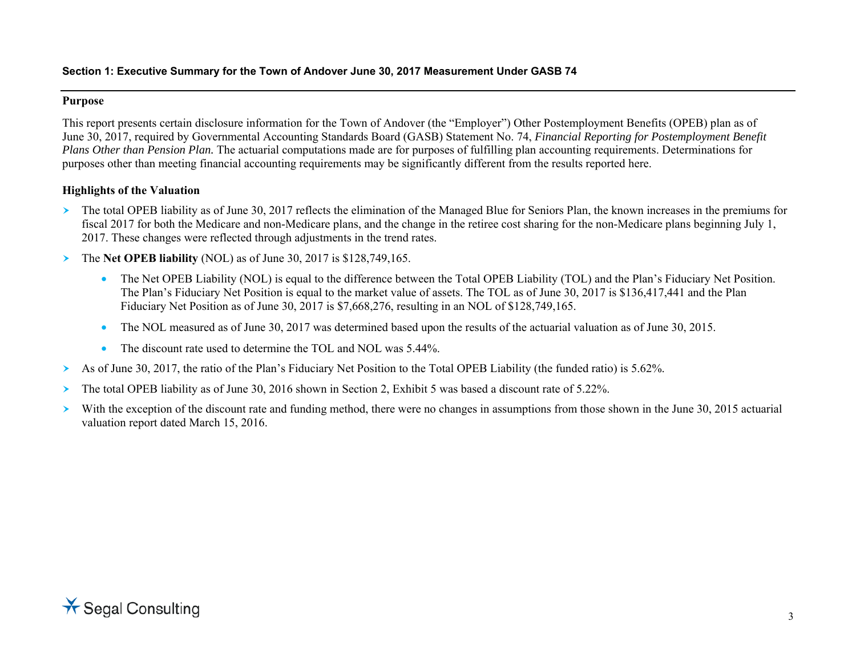# **Purpose**

This report presents certain disclosure information for the Town of Andover (the "Employer") Other Postemployment Benefits (OPEB) plan as of June 30, 2017, required by Governmental Accounting Standards Board (GASB) Statement No. 74, *Financial Reporting for Postemployment Benefit Plans Other than Pension Plan.* The actuarial computations made are for purposes of fulfilling plan accounting requirements. Determinations for purposes other than meeting financial accounting requirements may be significantly different from the results reported here.

# **Highlights of the Valuation**

- The total OPEB liability as of June 30, 2017 reflects the elimination of the Managed Blue for Seniors Plan, the known increases in the premiums for fiscal 2017 for both the Medicare and non-Medicare plans, and the change in the retiree cost sharing for the non-Medicare plans beginning July 1, 2017. These changes were reflected through adjustments in the trend rates.
- $\blacktriangleright$  The **Net OPEB liability** (NOL) as of June 30, 2017 is \$128,749,165.
	- The Net OPEB Liability (NOL) is equal to the difference between the Total OPEB Liability (TOL) and the Plan's Fiduciary Net Position. The Plan's Fiduciary Net Position is equal to the market value of assets. The TOL as of June 30, 2017 is \$136,417,441 and the Plan Fiduciary Net Position as of June 30, 2017 is \$7,668,276, resulting in an NOL of \$128,749,165.
	- •The NOL measured as of June 30, 2017 was determined based upon the results of the actuarial valuation as of June 30, 2015.
	- •The discount rate used to determine the TOL and NOL was 5.44%.
- ≻ As of June 30, 2017, the ratio of the Plan's Fiduciary Net Position to the Total OPEB Liability (the funded ratio) is 5.62%.
- $\blacktriangleright$ The total OPEB liability as of June 30, 2016 shown in Section 2, Exhibit 5 was based a discount rate of 5.22%.
- $\blacktriangleright$ With the exception of the discount rate and funding method, there were no changes in assumptions from those shown in the June 30, 2015 actuarial valuation report dated March 15, 2016.

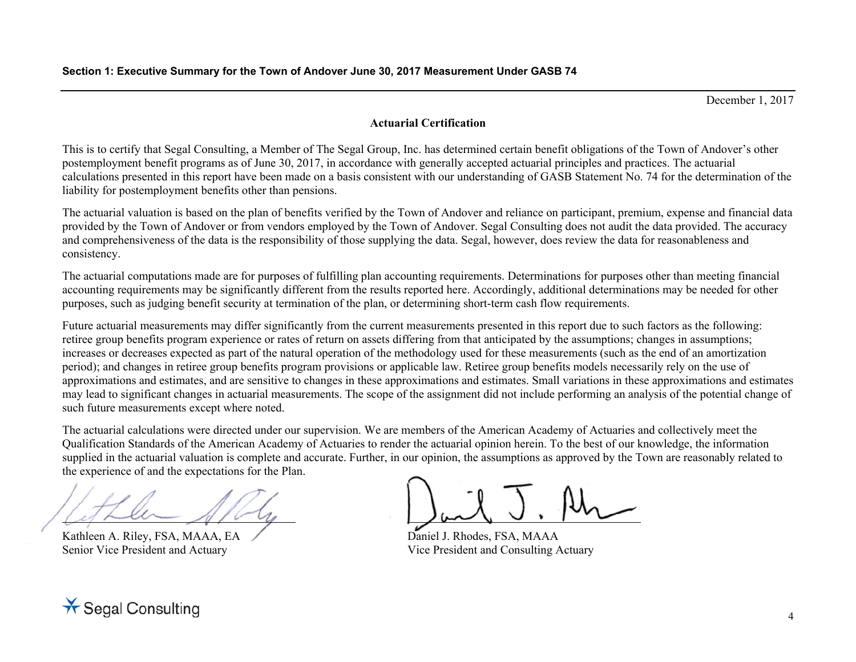December 1, 2017

# **Actuarial Certification**

This is to certify that Segal Consulting, a Member of The Segal Group, Inc. has determined certain benefit obligations of the Town of Andover's other postemployment benefit programs as of June 30, 2017, in accordance with generally accepted actuarial principles and practices. The actuarial calculations presented in this report have been made on a basis consistent with our understanding of GASB Statement No. 74 for the determination of the liability for postemployment benefits other than pensions.

The actuarial valuation is based on the plan of benefits verified by the Town of Andover and reliance on participant, premium, expense and financial data provided by the Town of Andover or from vendors employed by the Town of Andover. Segal Consulting does not audit the data provided. The accuracy and comprehensiveness of the data is the responsibility of those supplying the data. Segal, however, does review the data for reasonableness and consistency.

The actuarial computations made are for purposes of fulfilling plan accounting requirements. Determinations for purposes other than meeting financial accounting requirements may be significantly different from the results reported here. Accordingly, additional determinations may be needed for other purposes, such as judging benefit security at termination of the plan, or determining short-term cash flow requirements.

Future actuarial measurements may differ significantly from the current measurements presented in this report due to such factors as the following: retiree group benefits program experience or rates of return on assets differing from that anticipated by the assumptions; changes in assumptions; increases or decreases expected as part of the natural operation of the methodology used for these measurements (such as the end of an amortization period); and changes in retiree group benefits program provisions or applicable law. Retiree group benefits models necessarily rely on the use of approximations and estimates, and are sensitive to changes in these approximations and estimates. Small variations in these approximations and estimates may lead to significant changes in actuarial measurements. The scope of the assignment did not include performing an analysis of the potential change of such future measurements except where noted.

The actuarial calculations were directed under our supervision. We are members of the American Academy of Actuaries and collectively meet the Qualification Standards of the American Academy of Actuaries to render the actuarial opinion herein. To the best of our knowledge, the information supplied in the actuarial valuation is complete and accurate. Further, in our opinion, the assumptions as approved by the Town are reasonably related to the experience of and the expectations for the Plan.

Kathleen A. Riley, FSA, MAAA, EA Senior Vice President and Actuary

Daniel J. Rhodes, FSA, MAAA Vice President and Consulting Actuary

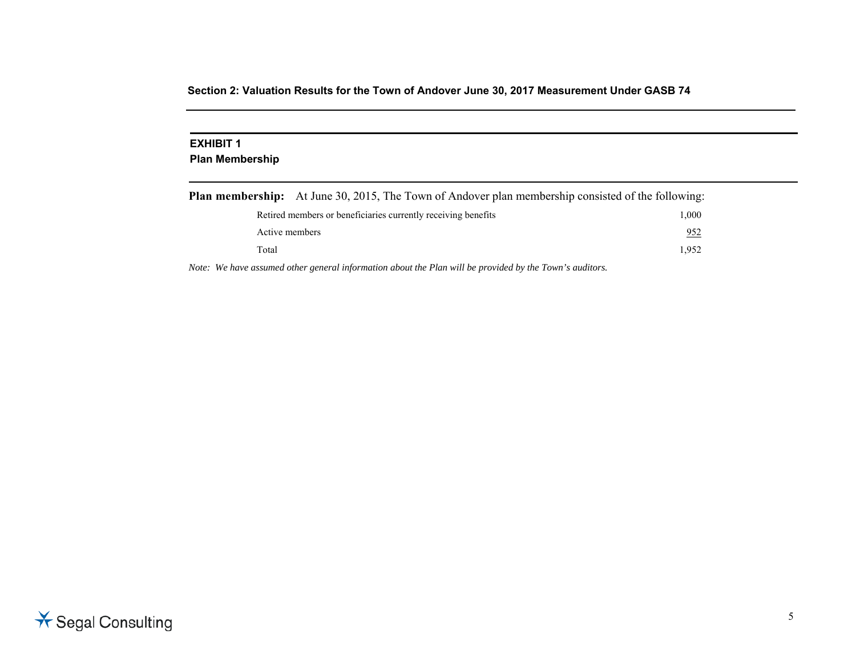### **EXHIBIT 1 Plan Membership**

|                | <b>Plan membership:</b> At June 30, 2015, The Town of Andover plan membership consisted of the following: |       |
|----------------|-----------------------------------------------------------------------------------------------------------|-------|
|                | Retired members or beneficiaries currently receiving benefits                                             | 1.000 |
| Active members |                                                                                                           | 952   |
| Total          |                                                                                                           | 1.952 |

*Note: We have assumed other general information about the Plan will be provided by the Town's auditors.* 

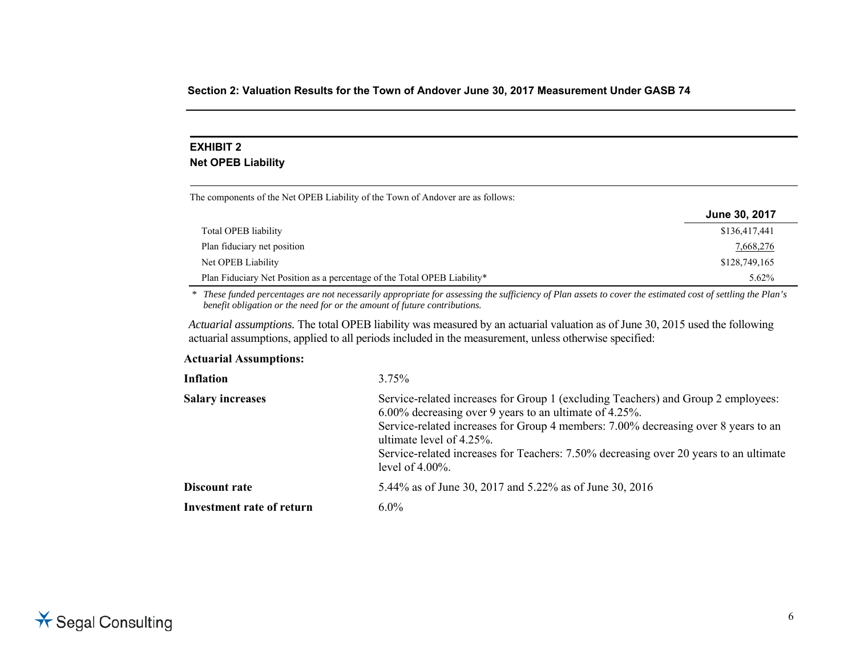# **EXHIBIT 2 Net OPEB Liability**

The components of the Net OPEB Liability of the Town of Andover are as follows:

|                                                                          | June 30, 2017 |
|--------------------------------------------------------------------------|---------------|
| Total OPEB liability                                                     | \$136,417,441 |
| Plan fiduciary net position                                              | 7,668,276     |
| Net OPEB Liability                                                       | \$128,749,165 |
| Plan Fiduciary Net Position as a percentage of the Total OPEB Liability* | $5.62\%$      |

*\* These funded percentages are not necessarily appropriate for assessing the sufficiency of Plan assets to cover the estimated cost of settling the Plan's benefit obligation or the need for or the amount of future contributions.* 

*Actuarial assumptions.* The total OPEB liability was measured by an actuarial valuation as of June 30, 2015 used the following actuarial assumptions, applied to all periods included in the measurement, unless otherwise specified:

#### **Actuarial Assumptions:**

| $3.75\%$                                                                                                                                                                                                                                                                                                                                                                          |
|-----------------------------------------------------------------------------------------------------------------------------------------------------------------------------------------------------------------------------------------------------------------------------------------------------------------------------------------------------------------------------------|
| Service-related increases for Group 1 (excluding Teachers) and Group 2 employees:<br>6.00% decreasing over 9 years to an ultimate of 4.25%.<br>Service-related increases for Group 4 members: 7.00% decreasing over 8 years to an<br>ultimate level of $4.25\%$ .<br>Service-related increases for Teachers: 7.50% decreasing over 20 years to an ultimate<br>level of $4.00\%$ . |
| 5.44% as of June 30, 2017 and 5.22% as of June 30, 2016                                                                                                                                                                                                                                                                                                                           |
| $6.0\%$                                                                                                                                                                                                                                                                                                                                                                           |
|                                                                                                                                                                                                                                                                                                                                                                                   |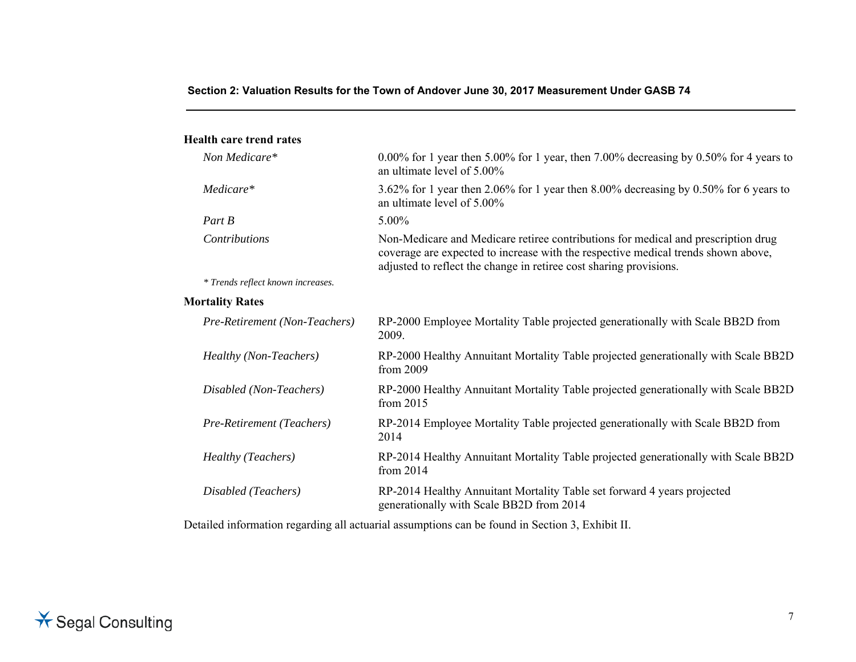#### **Health care trend rates**

| $0.00\%$ for 1 year then 5.00% for 1 year, then 7.00% decreasing by 0.50% for 4 years to<br>an ultimate level of 5.00%                                                                                                                       |
|----------------------------------------------------------------------------------------------------------------------------------------------------------------------------------------------------------------------------------------------|
| 3.62% for 1 year then 2.06% for 1 year then 8.00% decreasing by 0.50% for 6 years to<br>an ultimate level of 5.00%                                                                                                                           |
| 5.00%                                                                                                                                                                                                                                        |
| Non-Medicare and Medicare retiree contributions for medical and prescription drug<br>coverage are expected to increase with the respective medical trends shown above,<br>adjusted to reflect the change in retiree cost sharing provisions. |
|                                                                                                                                                                                                                                              |
|                                                                                                                                                                                                                                              |
| RP-2000 Employee Mortality Table projected generationally with Scale BB2D from<br>2009.                                                                                                                                                      |
| RP-2000 Healthy Annuitant Mortality Table projected generationally with Scale BB2D<br>from 2009                                                                                                                                              |
| RP-2000 Healthy Annuitant Mortality Table projected generationally with Scale BB2D<br>from 2015                                                                                                                                              |
| RP-2014 Employee Mortality Table projected generationally with Scale BB2D from<br>2014                                                                                                                                                       |
| RP-2014 Healthy Annuitant Mortality Table projected generationally with Scale BB2D<br>from 2014                                                                                                                                              |
| RP-2014 Healthy Annuitant Mortality Table set forward 4 years projected<br>generationally with Scale BB2D from 2014                                                                                                                          |
|                                                                                                                                                                                                                                              |

Detailed information regarding all actuarial assumptions can be found in Section 3, Exhibit II.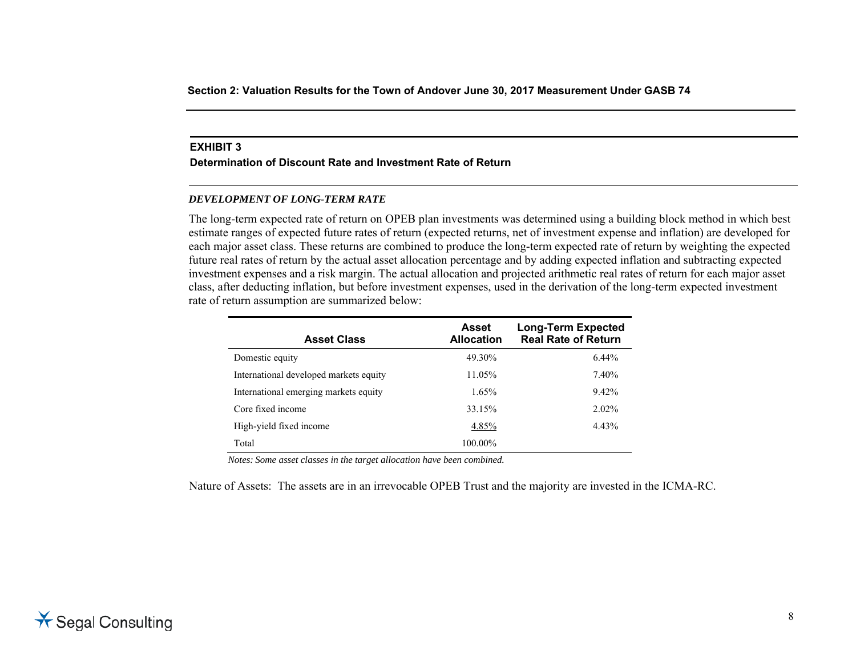#### **EXHIBIT 3**

#### **Determination of Discount Rate and Investment Rate of Return**

#### *DEVELOPMENT OF LONG-TERM RATE*

The long-term expected rate of return on OPEB plan investments was determined using a building block method in which best estimate ranges of expected future rates of return (expected returns, net of investment expense and inflation) are developed for each major asset class. These returns are combined to produce the long-term expected rate of return by weighting the expected future real rates of return by the actual asset allocation percentage and by adding expected inflation and subtracting expected investment expenses and a risk margin. The actual allocation and projected arithmetic real rates of return for each major asset class, after deducting inflation, but before investment expenses, used in the derivation of the long-term expected investment rate of return assumption are summarized below:

| <b>Asset Class</b>                     | Asset<br><b>Allocation</b> | <b>Long-Term Expected</b><br><b>Real Rate of Return</b> |
|----------------------------------------|----------------------------|---------------------------------------------------------|
| Domestic equity                        | 49.30%                     | $6.44\%$                                                |
| International developed markets equity | 11.05%                     | 7.40%                                                   |
| International emerging markets equity  | $1.65\%$                   | 9.42%                                                   |
| Core fixed income                      | 33.15%                     | $2.02\%$                                                |
| High-yield fixed income                | 4.85%                      | 4.43%                                                   |
| Total                                  | 100.00%                    |                                                         |

*Notes: Some asset classes in the target allocation have been combined.* 

Nature of Assets: The assets are in an irrevocable OPEB Trust and the majority are invested in the ICMA-RC.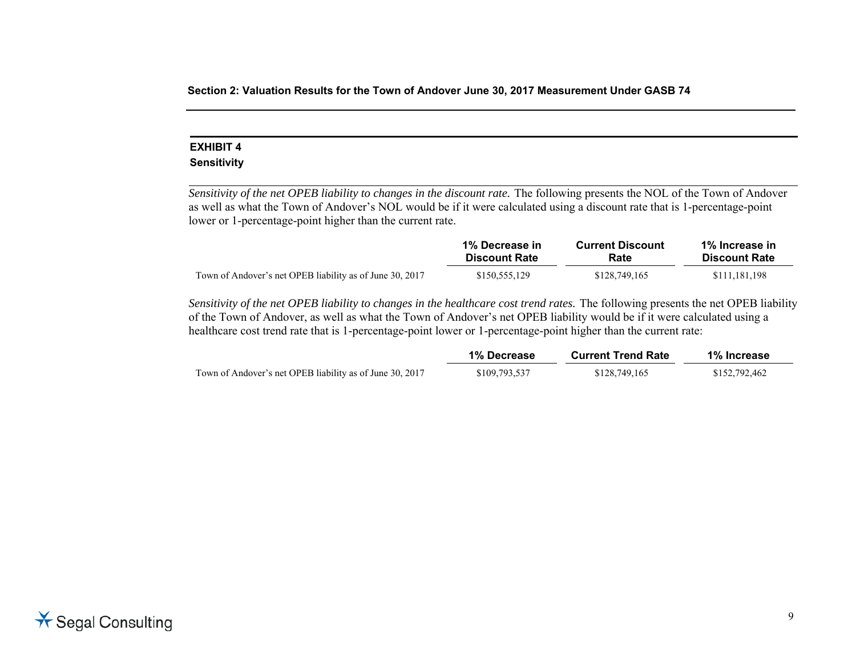# **EXHIBIT 4**

### **Sensitivity**

*Sensitivity of the net OPEB liability to changes in the discount rate.* The following presents the NOL of the Town of Andover as well as what the Town of Andover's NOL would be if it were calculated using a discount rate that is 1-percentage-point lower or 1-percentage-point higher than the current rate.

|                                                          | 1% Decrease in       | <b>Current Discount</b> | 1% Increase in       |
|----------------------------------------------------------|----------------------|-------------------------|----------------------|
|                                                          | <b>Discount Rate</b> | Rate                    | <b>Discount Rate</b> |
| Town of Andover's net OPEB liability as of June 30, 2017 | \$150,555,129        | \$128,749,165           | \$111,181,198        |

*Sensitivity of the net OPEB liability to changes in the healthcare cost trend rates.* The following presents the net OPEB liability of the Town of Andover, as well as what the Town of Andover's net OPEB liability would be if it were calculated using a healthcare cost trend rate that is 1-percentage-point lower or 1-percentage-point higher than the current rate:

|                                                          | 1% Decrease   | <b>Current Trend Rate</b> | 1% Increase   |
|----------------------------------------------------------|---------------|---------------------------|---------------|
| Town of Andover's net OPEB liability as of June 30, 2017 | \$109,793,537 | \$128,749,165             | \$152,792,462 |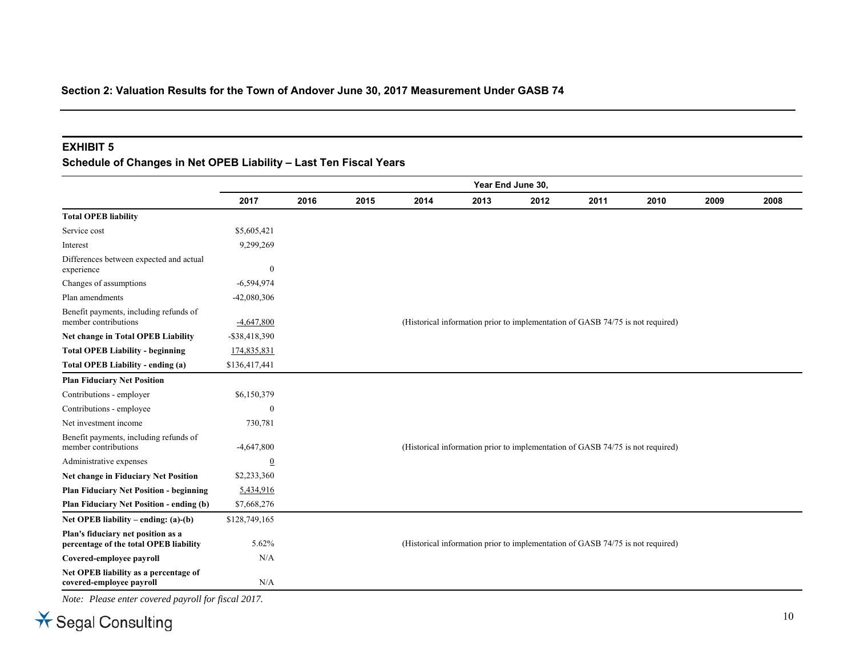#### **EXHIBIT 5**

# **Schedule of Changes in Net OPEB Liability – Last Ten Fiscal Years**

|                                                                              | Year End June 30, |      |      |      |      |      |                                                                                |      |      |      |
|------------------------------------------------------------------------------|-------------------|------|------|------|------|------|--------------------------------------------------------------------------------|------|------|------|
|                                                                              | 2017              | 2016 | 2015 | 2014 | 2013 | 2012 | 2011                                                                           | 2010 | 2009 | 2008 |
| <b>Total OPEB liability</b>                                                  |                   |      |      |      |      |      |                                                                                |      |      |      |
| Service cost                                                                 | \$5,605,421       |      |      |      |      |      |                                                                                |      |      |      |
| Interest                                                                     | 9,299,269         |      |      |      |      |      |                                                                                |      |      |      |
| Differences between expected and actual<br>experience                        | $\boldsymbol{0}$  |      |      |      |      |      |                                                                                |      |      |      |
| Changes of assumptions                                                       | $-6,594,974$      |      |      |      |      |      |                                                                                |      |      |      |
| Plan amendments                                                              | $-42,080,306$     |      |      |      |      |      |                                                                                |      |      |      |
| Benefit payments, including refunds of<br>member contributions               | $-4,647,800$      |      |      |      |      |      | (Historical information prior to implementation of GASB 74/75 is not required) |      |      |      |
| <b>Net change in Total OPEB Liability</b>                                    | $-$ \$38,418,390  |      |      |      |      |      |                                                                                |      |      |      |
| <b>Total OPEB Liability - beginning</b>                                      | 174,835,831       |      |      |      |      |      |                                                                                |      |      |      |
| Total OPEB Liability - ending (a)                                            | \$136,417,441     |      |      |      |      |      |                                                                                |      |      |      |
| <b>Plan Fiduciary Net Position</b>                                           |                   |      |      |      |      |      |                                                                                |      |      |      |
| Contributions - employer                                                     | \$6,150,379       |      |      |      |      |      |                                                                                |      |      |      |
| Contributions - employee                                                     | $\mathbf{0}$      |      |      |      |      |      |                                                                                |      |      |      |
| Net investment income                                                        | 730,781           |      |      |      |      |      |                                                                                |      |      |      |
| Benefit payments, including refunds of<br>member contributions               | $-4,647,800$      |      |      |      |      |      | (Historical information prior to implementation of GASB 74/75 is not required) |      |      |      |
| Administrative expenses                                                      | $\overline{0}$    |      |      |      |      |      |                                                                                |      |      |      |
| Net change in Fiduciary Net Position                                         | \$2,233,360       |      |      |      |      |      |                                                                                |      |      |      |
| <b>Plan Fiduciary Net Position - beginning</b>                               | 5,434,916         |      |      |      |      |      |                                                                                |      |      |      |
| Plan Fiduciary Net Position - ending (b)                                     | \$7,668,276       |      |      |      |      |      |                                                                                |      |      |      |
| Net OPEB liability – ending: $(a)-(b)$                                       | \$128,749,165     |      |      |      |      |      |                                                                                |      |      |      |
| Plan's fiduciary net position as a<br>percentage of the total OPEB liability | 5.62%             |      |      |      |      |      | (Historical information prior to implementation of GASB 74/75 is not required) |      |      |      |
| Covered-employee payroll                                                     | N/A               |      |      |      |      |      |                                                                                |      |      |      |
| Net OPEB liability as a percentage of<br>covered-employee payroll            | N/A               |      |      |      |      |      |                                                                                |      |      |      |

*Note: Please enter covered payroll for fiscal 2017.*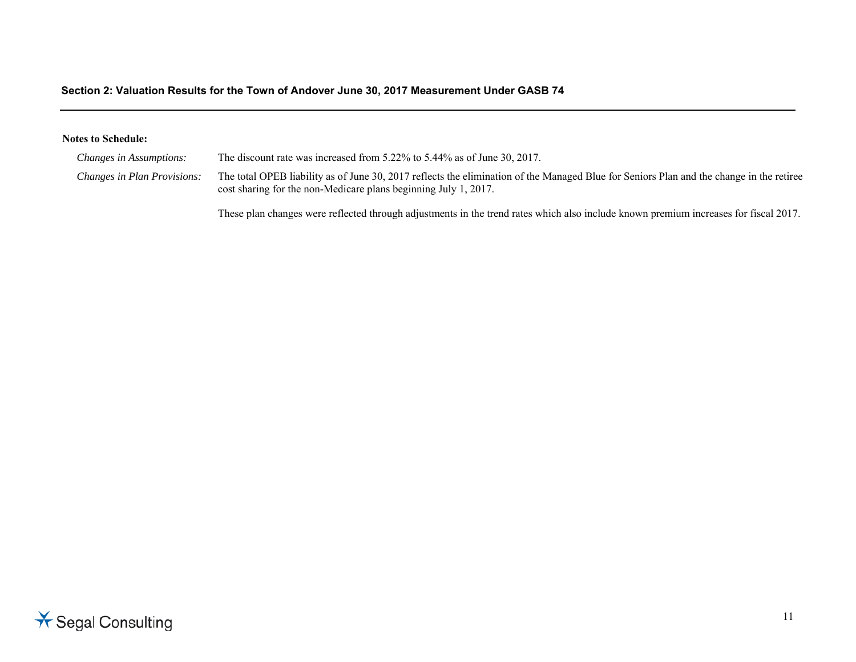#### **Notes to Schedule:**

| <i>Changes in Assumptions:</i> | The discount rate was increased from 5.22% to 5.44% as of June 30, 2017.                                                                                                                                    |
|--------------------------------|-------------------------------------------------------------------------------------------------------------------------------------------------------------------------------------------------------------|
| Changes in Plan Provisions:    | The total OPEB liability as of June 30, 2017 reflects the elimination of the Managed Blue for Seniors Plan and the change in the retiree<br>cost sharing for the non-Medicare plans beginning July 1, 2017. |

These plan changes were reflected through adjustments in the trend rates which also include known premium increases for fiscal 2017.

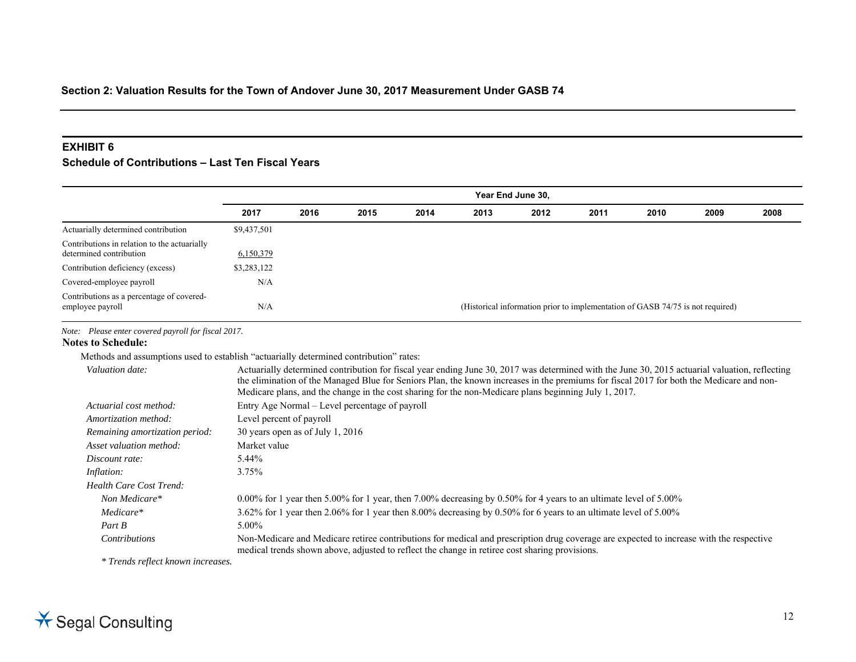#### **EXHIBIT 6**

### **Schedule of Contributions – Last Ten Fiscal Years**

|                                                                         | Year End June 30, |                                                                                |      |      |      |      |      |      |      |      |
|-------------------------------------------------------------------------|-------------------|--------------------------------------------------------------------------------|------|------|------|------|------|------|------|------|
|                                                                         | 2017              | 2016                                                                           | 2015 | 2014 | 2013 | 2012 | 2011 | 2010 | 2009 | 2008 |
| Actuarially determined contribution                                     | \$9,437,501       |                                                                                |      |      |      |      |      |      |      |      |
| Contributions in relation to the actuarially<br>determined contribution | 6,150,379         |                                                                                |      |      |      |      |      |      |      |      |
| Contribution deficiency (excess)                                        | \$3,283,122       |                                                                                |      |      |      |      |      |      |      |      |
| Covered-employee payroll                                                | N/A               |                                                                                |      |      |      |      |      |      |      |      |
| Contributions as a percentage of covered-<br>employee payroll           | N/A               | (Historical information prior to implementation of GASB 74/75 is not required) |      |      |      |      |      |      |      |      |

*Note: Please enter covered payroll for fiscal 2017.* 

#### **Notes to Schedule:**

Methods and assumptions used to establish "actuarially determined contribution" rates:

| Valuation date:                | Actuarially determined contribution for fiscal year ending June 30, 2017 was determined with the June 30, 2015 actuarial valuation, reflecting<br>the elimination of the Managed Blue for Seniors Plan, the known increases in the premiums for fiscal 2017 for both the Medicare and non-<br>Medicare plans, and the change in the cost sharing for the non-Medicare plans beginning July 1, 2017. |
|--------------------------------|-----------------------------------------------------------------------------------------------------------------------------------------------------------------------------------------------------------------------------------------------------------------------------------------------------------------------------------------------------------------------------------------------------|
| Actuarial cost method:         | Entry Age Normal – Level percentage of payroll                                                                                                                                                                                                                                                                                                                                                      |
| Amortization method:           | Level percent of payroll                                                                                                                                                                                                                                                                                                                                                                            |
| Remaining amortization period: | 30 years open as of July 1, 2016                                                                                                                                                                                                                                                                                                                                                                    |
| Asset valuation method:        | Market value                                                                                                                                                                                                                                                                                                                                                                                        |
| Discount rate:                 | 5.44%                                                                                                                                                                                                                                                                                                                                                                                               |
| Inflation:                     | 3.75%                                                                                                                                                                                                                                                                                                                                                                                               |
| Health Care Cost Trend:        |                                                                                                                                                                                                                                                                                                                                                                                                     |
| Non Medicare*                  | $0.00\%$ for 1 year then 5.00% for 1 year, then 7.00% decreasing by 0.50% for 4 years to an ultimate level of 5.00%                                                                                                                                                                                                                                                                                 |
| Medicare*                      | 3.62% for 1 year then 2.06% for 1 year then 8.00% decreasing by 0.50% for 6 years to an ultimate level of 5.00%                                                                                                                                                                                                                                                                                     |
| Part B                         | 5.00%                                                                                                                                                                                                                                                                                                                                                                                               |
| <b>Contributions</b>           | Non-Medicare and Medicare retiree contributions for medical and prescription drug coverage are expected to increase with the respective<br>medical trends shown above, adjusted to reflect the change in retiree cost sharing provisions.                                                                                                                                                           |

*\* Trends reflect known increases.*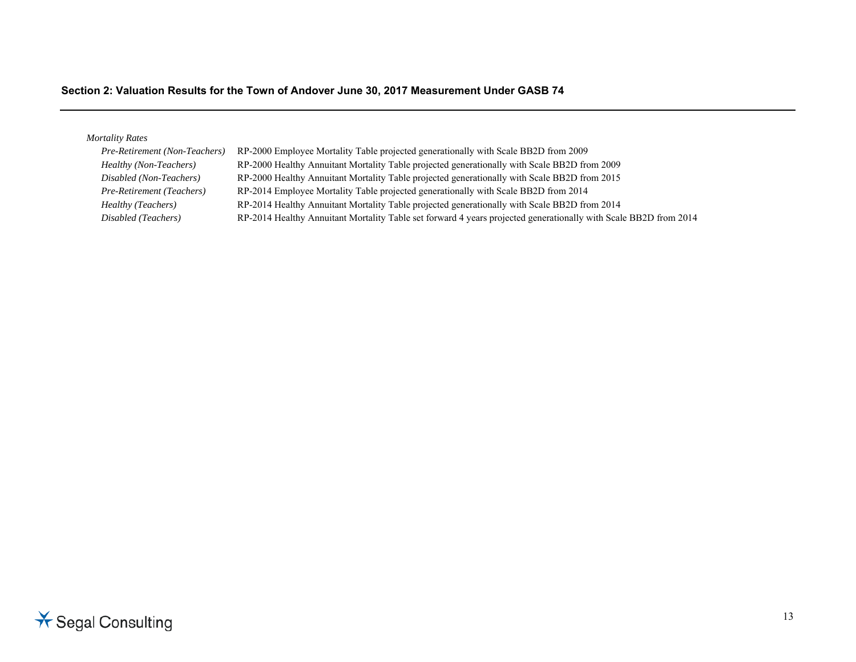# *Mortality Rates*

| Pre-Retirement (Non-Teachers)    | RP-2000 Employee Mortality Table projected generationally with Scale BB2D from 2009                              |
|----------------------------------|------------------------------------------------------------------------------------------------------------------|
| Healthy (Non-Teachers)           | RP-2000 Healthy Annuitant Mortality Table projected generationally with Scale BB2D from 2009                     |
| Disabled (Non-Teachers)          | RP-2000 Healthy Annuitant Mortality Table projected generationally with Scale BB2D from 2015                     |
| <b>Pre-Retirement (Teachers)</b> | RP-2014 Employee Mortality Table projected generationally with Scale BB2D from 2014                              |
| Healthy (Teachers)               | RP-2014 Healthy Annuitant Mortality Table projected generationally with Scale BB2D from 2014                     |
| Disabled (Teachers)              | RP-2014 Healthy Annuitant Mortality Table set forward 4 years projected generationally with Scale BB2D from 2014 |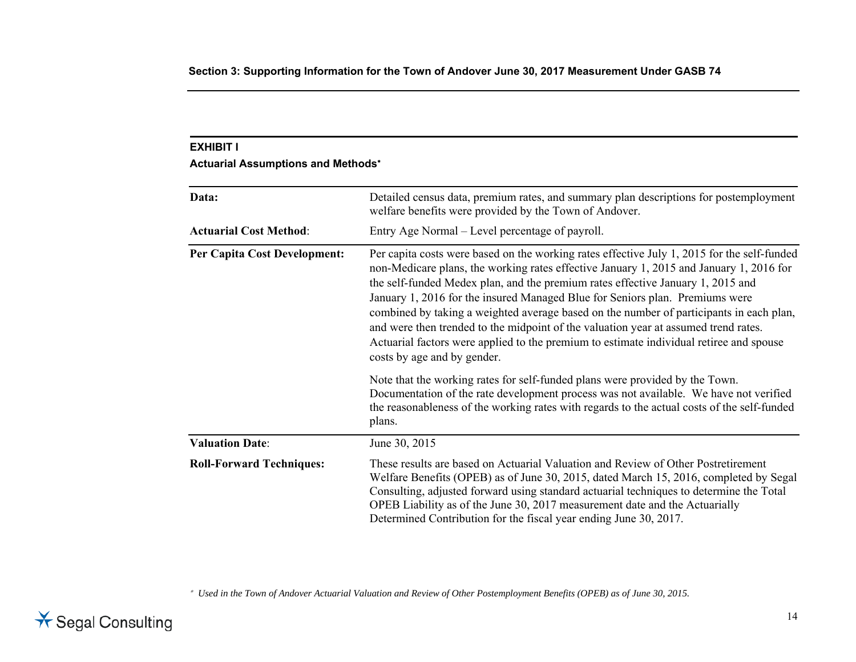# **EXHIBIT I Actuarial Assumptions and Methods**<sup>∗</sup>

| Data:                               | Detailed census data, premium rates, and summary plan descriptions for postemployment<br>welfare benefits were provided by the Town of Andover.                                                                                                                                                                                                                                                                                                                                                                                                                                                                                                                       |  |  |  |  |
|-------------------------------------|-----------------------------------------------------------------------------------------------------------------------------------------------------------------------------------------------------------------------------------------------------------------------------------------------------------------------------------------------------------------------------------------------------------------------------------------------------------------------------------------------------------------------------------------------------------------------------------------------------------------------------------------------------------------------|--|--|--|--|
| <b>Actuarial Cost Method:</b>       | Entry Age Normal – Level percentage of payroll.                                                                                                                                                                                                                                                                                                                                                                                                                                                                                                                                                                                                                       |  |  |  |  |
| <b>Per Capita Cost Development:</b> | Per capita costs were based on the working rates effective July 1, 2015 for the self-funded<br>non-Medicare plans, the working rates effective January 1, 2015 and January 1, 2016 for<br>the self-funded Medex plan, and the premium rates effective January 1, 2015 and<br>January 1, 2016 for the insured Managed Blue for Seniors plan. Premiums were<br>combined by taking a weighted average based on the number of participants in each plan,<br>and were then trended to the midpoint of the valuation year at assumed trend rates.<br>Actuarial factors were applied to the premium to estimate individual retiree and spouse<br>costs by age and by gender. |  |  |  |  |
|                                     | Note that the working rates for self-funded plans were provided by the Town.<br>Documentation of the rate development process was not available. We have not verified<br>the reasonableness of the working rates with regards to the actual costs of the self-funded<br>plans.                                                                                                                                                                                                                                                                                                                                                                                        |  |  |  |  |
| <b>Valuation Date:</b>              | June 30, 2015                                                                                                                                                                                                                                                                                                                                                                                                                                                                                                                                                                                                                                                         |  |  |  |  |
| <b>Roll-Forward Techniques:</b>     | These results are based on Actuarial Valuation and Review of Other Postretirement<br>Welfare Benefits (OPEB) as of June 30, 2015, dated March 15, 2016, completed by Segal<br>Consulting, adjusted forward using standard actuarial techniques to determine the Total<br>OPEB Liability as of the June 30, 2017 measurement date and the Actuarially<br>Determined Contribution for the fiscal year ending June 30, 2017.                                                                                                                                                                                                                                             |  |  |  |  |

∗ *Used in the Town of Andover Actuarial Valuation and Review of Other Postemployment Benefits (OPEB) as of June 30, 2015.*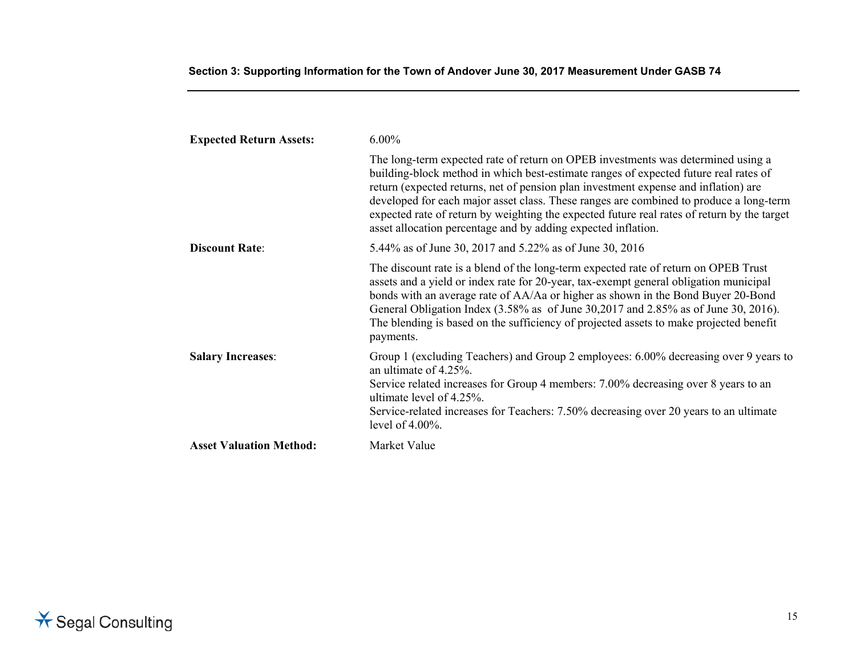| <b>Expected Return Assets:</b> | $6.00\%$                                                                                                                                                                                                                                                                                                                                                                                                                                                                                                                  |
|--------------------------------|---------------------------------------------------------------------------------------------------------------------------------------------------------------------------------------------------------------------------------------------------------------------------------------------------------------------------------------------------------------------------------------------------------------------------------------------------------------------------------------------------------------------------|
|                                | The long-term expected rate of return on OPEB investments was determined using a<br>building-block method in which best-estimate ranges of expected future real rates of<br>return (expected returns, net of pension plan investment expense and inflation) are<br>developed for each major asset class. These ranges are combined to produce a long-term<br>expected rate of return by weighting the expected future real rates of return by the target<br>asset allocation percentage and by adding expected inflation. |
| <b>Discount Rate:</b>          | 5.44% as of June 30, 2017 and 5.22% as of June 30, 2016                                                                                                                                                                                                                                                                                                                                                                                                                                                                   |
|                                | The discount rate is a blend of the long-term expected rate of return on OPEB Trust<br>assets and a yield or index rate for 20-year, tax-exempt general obligation municipal<br>bonds with an average rate of AA/Aa or higher as shown in the Bond Buyer 20-Bond<br>General Obligation Index $(3.58\%$ as of June $30,2017$ and $2.85\%$ as of June 30, 2016).<br>The blending is based on the sufficiency of projected assets to make projected benefit<br>payments.                                                     |
| <b>Salary Increases:</b>       | Group 1 (excluding Teachers) and Group 2 employees: 6.00% decreasing over 9 years to<br>an ultimate of 4.25%.<br>Service related increases for Group 4 members: 7.00% decreasing over 8 years to an<br>ultimate level of 4.25%.<br>Service-related increases for Teachers: 7.50% decreasing over 20 years to an ultimate<br>level of $4.00\%$ .                                                                                                                                                                           |
| <b>Asset Valuation Method:</b> | Market Value                                                                                                                                                                                                                                                                                                                                                                                                                                                                                                              |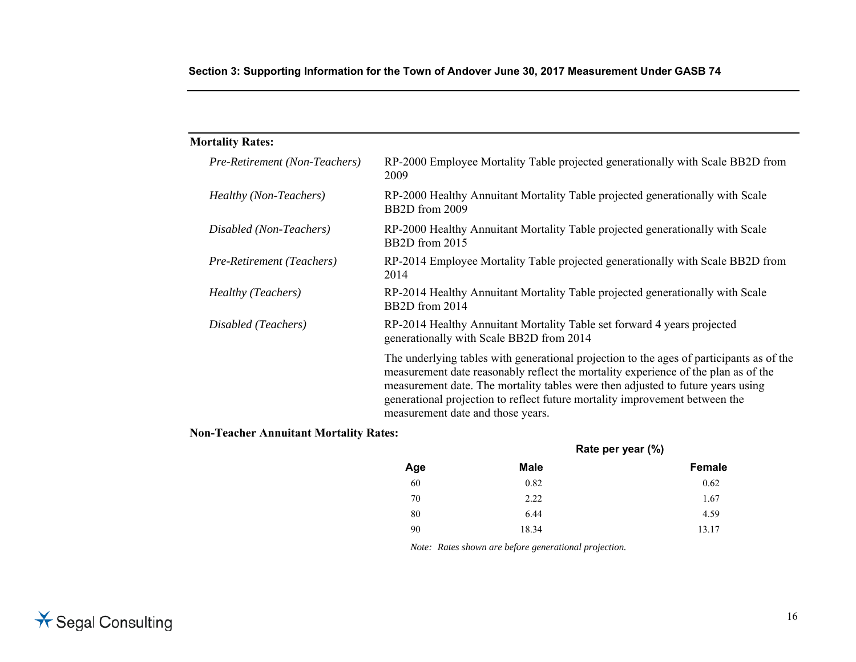|  |  |  | Section 3: Supporting Information for the Town of Andover June 30, 2017 Measurement Under GASB 74 |  |
|--|--|--|---------------------------------------------------------------------------------------------------|--|
|  |  |  |                                                                                                   |  |

| <b>Mortality Rates:</b>       |                                                                                                                                                                                                                                                                                                                                                                                       |
|-------------------------------|---------------------------------------------------------------------------------------------------------------------------------------------------------------------------------------------------------------------------------------------------------------------------------------------------------------------------------------------------------------------------------------|
| Pre-Retirement (Non-Teachers) | RP-2000 Employee Mortality Table projected generationally with Scale BB2D from<br>2009                                                                                                                                                                                                                                                                                                |
| <i>Healthy (Non-Teachers)</i> | RP-2000 Healthy Annuitant Mortality Table projected generationally with Scale<br>BB <sub>2</sub> D from 2009                                                                                                                                                                                                                                                                          |
| Disabled (Non-Teachers)       | RP-2000 Healthy Annuitant Mortality Table projected generationally with Scale<br>BB <sub>2</sub> D from 2015                                                                                                                                                                                                                                                                          |
| Pre-Retirement (Teachers)     | RP-2014 Employee Mortality Table projected generationally with Scale BB2D from<br>2014                                                                                                                                                                                                                                                                                                |
| <i>Healthy (Teachers)</i>     | RP-2014 Healthy Annuitant Mortality Table projected generationally with Scale<br>BB <sub>2</sub> D from 2014                                                                                                                                                                                                                                                                          |
| Disabled (Teachers)           | RP-2014 Healthy Annuitant Mortality Table set forward 4 years projected<br>generationally with Scale BB2D from 2014                                                                                                                                                                                                                                                                   |
|                               | The underlying tables with generational projection to the ages of participants as of the<br>measurement date reasonably reflect the mortality experience of the plan as of the<br>measurement date. The mortality tables were then adjusted to future years using<br>generational projection to reflect future mortality improvement between the<br>measurement date and those years. |

**Non-Teacher Annuitant Mortality Rates:** 

|     | Rate per year (%) |        |  |
|-----|-------------------|--------|--|
| Age | <b>Male</b>       | Female |  |
| 60  | 0.82              | 0.62   |  |
| 70  | 2.22              | 1.67   |  |
| 80  | 6.44              | 4.59   |  |
| 90  | 18.34             | 13.17  |  |

*Note: Rates shown are before generational projection.*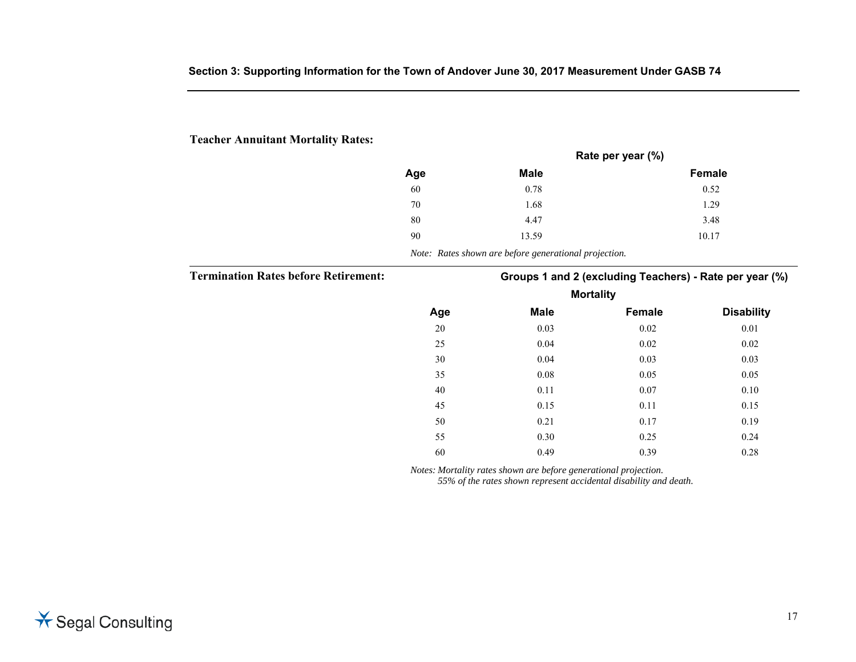## **Teacher Annuitant Mortality Rates:**

|     |             | Rate per year (%) |
|-----|-------------|-------------------|
| Age | <b>Male</b> | Female            |
| 60  | 0.78        | 0.52              |
| 70  | 1.68        | 1.29              |
| 80  | 4.47        | 3.48              |
| 90  | 13.59       | 10.17             |
|     |             |                   |

*Note: Rates shown are before generational projection.* 

**Termination Rates before Retirement: Groups 1 and 2 (excluding Teachers) - Rate per year (%)** 

| <b>Mortality</b> |             |        |                   |  |  |
|------------------|-------------|--------|-------------------|--|--|
| Age              | <b>Male</b> | Female | <b>Disability</b> |  |  |
| 20               | 0.03        | 0.02   | $0.01\,$          |  |  |
| 25               | 0.04        | 0.02   | 0.02              |  |  |
| $30\,$           | 0.04        | 0.03   | 0.03              |  |  |
| 35               | $0.08\,$    | 0.05   | 0.05              |  |  |
| 40               | 0.11        | 0.07   | 0.10              |  |  |
| 45               | 0.15        | 0.11   | 0.15              |  |  |
| 50               | 0.21        | 0.17   | 0.19              |  |  |
| 55               | 0.30        | 0.25   | 0.24              |  |  |
| 60               | 0.49        | 0.39   | 0.28              |  |  |

*Notes: Mortality rates shown are before generational projection.* 

*55% of the rates shown represent accidental disability and death.*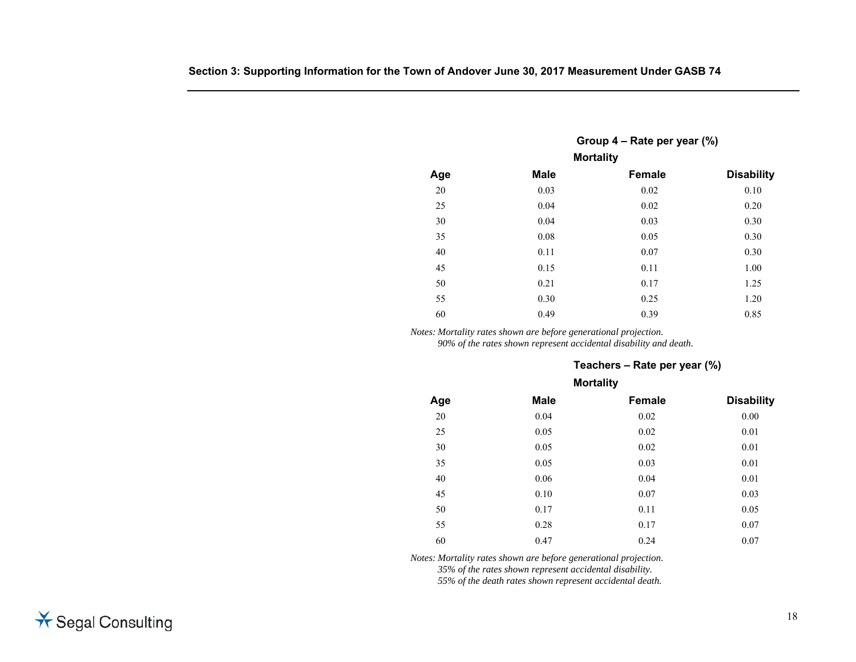|        | Group $4$ – Rate per year $(\%)$ |                  |                   |  |  |  |  |
|--------|----------------------------------|------------------|-------------------|--|--|--|--|
|        |                                  | <b>Mortality</b> |                   |  |  |  |  |
| Age    | <b>Male</b>                      | Female           | <b>Disability</b> |  |  |  |  |
| 20     | 0.03                             | 0.02             | 0.10              |  |  |  |  |
| 25     | 0.04                             | 0.02             | 0.20              |  |  |  |  |
| 30     | 0.04                             | 0.03             | 0.30              |  |  |  |  |
| 35     | $0.08\,$                         | 0.05             | 0.30              |  |  |  |  |
| $40\,$ | 0.11                             | 0.07             | 0.30              |  |  |  |  |
| 45     | 0.15                             | 0.11             | 1.00              |  |  |  |  |
| 50     | 0.21                             | 0.17             | 1.25              |  |  |  |  |
| 55     | 0.30                             | 0.25             | 1.20              |  |  |  |  |
| 60     | 0.49                             | 0.39             | 0.85              |  |  |  |  |
|        |                                  |                  |                   |  |  |  |  |

*Notes: Mortality rates shown are before generational projection. 90% of the rates shown represent accidental disability and death.*

### **Teachers – Rate per year (%)**

| Age    | <b>Male</b> | Female   | <b>Disability</b> |  |  |
|--------|-------------|----------|-------------------|--|--|
| $20\,$ | 0.04        | $0.02\,$ | $0.00\,$          |  |  |
| 25     | 0.05        | 0.02     | 0.01              |  |  |
| 30     | 0.05        | 0.02     | 0.01              |  |  |
| 35     | 0.05        | 0.03     | 0.01              |  |  |
| $40\,$ | 0.06        | 0.04     | 0.01              |  |  |
| 45     | 0.10        | 0.07     | 0.03              |  |  |
| 50     | 0.17        | 0.11     | 0.05              |  |  |
| 55     | 0.28        | 0.17     | 0.07              |  |  |
| 60     | 0.47        | 0.24     | 0.07              |  |  |
|        |             |          | <b>Mortality</b>  |  |  |

*Notes: Mortality rates shown are before generational projection.* 

*35% of the rates shown represent accidental disability.* 

*55% of the death rates shown represent accidental death.*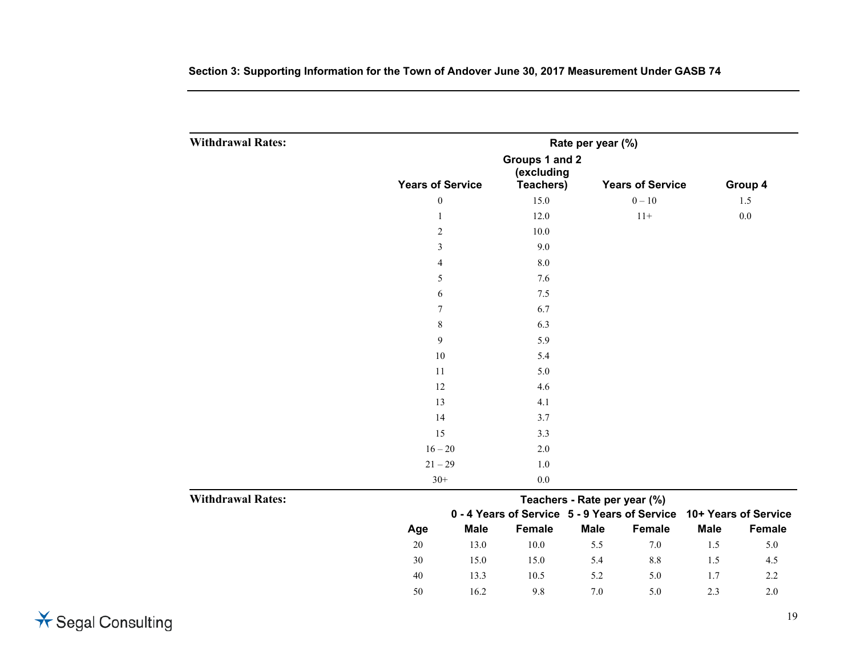| <b>Withdrawal Rates:</b> |                              | Rate per year (%) |                                 |                              |          |                                                                    |         |  |  |
|--------------------------|------------------------------|-------------------|---------------------------------|------------------------------|----------|--------------------------------------------------------------------|---------|--|--|
|                          | Groups 1 and 2<br>(excluding |                   |                                 |                              |          |                                                                    |         |  |  |
|                          | <b>Years of Service</b>      |                   | Teachers)                       | <b>Years of Service</b>      |          |                                                                    | Group 4 |  |  |
|                          | $\boldsymbol{0}$             |                   | 15.0                            |                              | $0 - 10$ |                                                                    | 1.5     |  |  |
|                          | $\mathbf{1}$                 |                   | 12.0                            |                              | $11+$    |                                                                    | $0.0\,$ |  |  |
|                          | $\sqrt{2}$                   |                   | 10.0                            |                              |          |                                                                    |         |  |  |
|                          | $\mathfrak{Z}$               |                   | 9.0                             |                              |          |                                                                    |         |  |  |
|                          | 4                            |                   | $8.0\,$                         |                              |          |                                                                    |         |  |  |
|                          | $\sqrt{5}$                   |                   | 7.6                             |                              |          |                                                                    |         |  |  |
|                          | 6                            |                   | $7.5$                           |                              |          |                                                                    |         |  |  |
|                          | $\boldsymbol{7}$             |                   | 6.7<br>6.3<br>5.9<br>5.4<br>5.0 |                              |          |                                                                    |         |  |  |
|                          | $\,8\,$                      |                   |                                 |                              |          |                                                                    |         |  |  |
|                          | 9                            |                   |                                 |                              |          |                                                                    |         |  |  |
|                          | $10\,$                       |                   |                                 |                              |          |                                                                    |         |  |  |
|                          | 11                           |                   |                                 |                              |          |                                                                    |         |  |  |
|                          | 12                           |                   | 4.6                             |                              |          |                                                                    |         |  |  |
|                          | 13                           |                   | 4.1                             |                              |          |                                                                    |         |  |  |
|                          | 14                           |                   | 3.7                             |                              |          |                                                                    |         |  |  |
|                          | 15                           |                   | 3.3                             |                              |          |                                                                    |         |  |  |
|                          | $16 - 20$                    |                   | 2.0                             |                              |          |                                                                    |         |  |  |
| <b>Withdrawal Rates:</b> | $21 - 29$                    |                   | $1.0\,$                         |                              |          |                                                                    |         |  |  |
|                          | $30+$                        |                   | $0.0\,$                         |                              |          |                                                                    |         |  |  |
|                          |                              |                   |                                 | Teachers - Rate per year (%) |          |                                                                    |         |  |  |
|                          |                              |                   |                                 |                              |          | 0 - 4 Years of Service 5 - 9 Years of Service 10+ Years of Service |         |  |  |
|                          | Age                          | <b>Male</b>       | Female                          | <b>Male</b>                  | Female   | <b>Male</b>                                                        | Female  |  |  |
|                          | $20\,$                       | 13.0              | $10.0\,$                        | 5.5                          | $7.0\,$  | 1.5                                                                | 5.0     |  |  |
|                          | 30                           | 15.0              | 15.0                            | 5.4                          | $8.8\,$  | 1.5                                                                | 4.5     |  |  |
|                          | 40                           | 13.3              | 10.5                            | 5.2                          | 5.0      | 1.7                                                                | 2.2     |  |  |
|                          | 50                           | 16.2              | 9.8                             | 7.0                          | 5.0      | 2.3                                                                | 2.0     |  |  |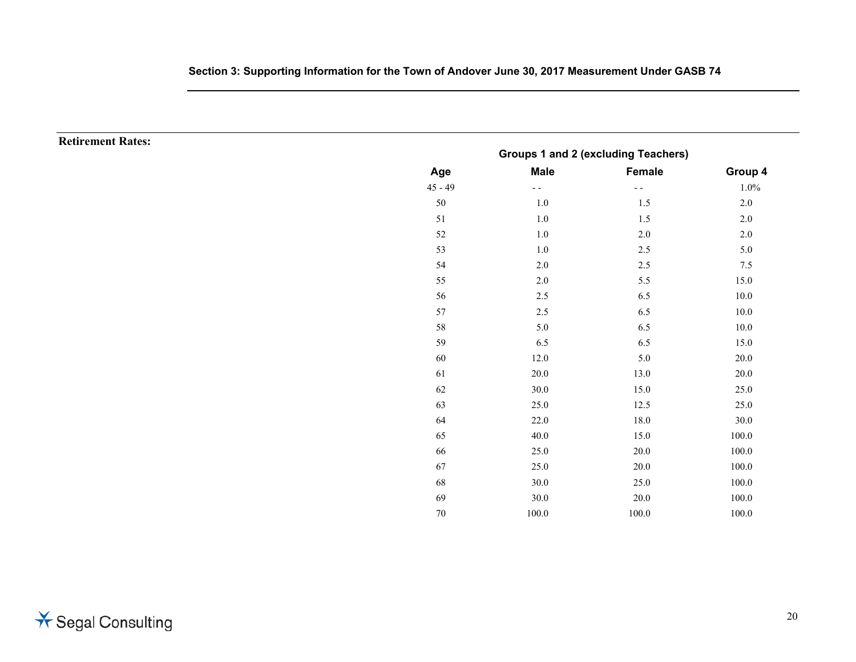**Retirement Rates:** 

| Groups 1 and 2 (excluding Teachers) |             |        |          |  |
|-------------------------------------|-------------|--------|----------|--|
| Age                                 | <b>Male</b> | Female | Group 4  |  |
| $45 - 49$                           |             | - -    | 1.0%     |  |
| $50\,$                              | 1.0         | 1.5    | 2.0      |  |
| 51                                  | 1.0         | 1.5    | 2.0      |  |
| 52                                  | 1.0         | 2.0    | 2.0      |  |
| 53                                  | 1.0         | 2.5    | 5.0      |  |
| 54                                  | 2.0         | 2.5    | 7.5      |  |
| 55                                  | $2.0\,$     | 5.5    | 15.0     |  |
| 56                                  | 2.5         | 6.5    | $10.0\,$ |  |
| 57                                  | 2.5         | 6.5    | $10.0\,$ |  |
| 58                                  | 5.0         | 6.5    | 10.0     |  |
| 59                                  | 6.5         | 6.5    | 15.0     |  |
| 60                                  | 12.0        | 5.0    | 20.0     |  |
| 61                                  | 20.0        | 13.0   | 20.0     |  |
| 62                                  | 30.0        | 15.0   | 25.0     |  |
| 63                                  | 25.0        | 12.5   | 25.0     |  |
| 64                                  | 22.0        | 18.0   | 30.0     |  |
| 65                                  | 40.0        | 15.0   | 100.0    |  |
| 66                                  | 25.0        | 20.0   | 100.0    |  |
| 67                                  | 25.0        | 20.0   | 100.0    |  |
| 68                                  | 30.0        | 25.0   | 100.0    |  |
| 69                                  | $30.0\,$    | 20.0   | 100.0    |  |
| 70                                  | 100.0       | 100.0  | 100.0    |  |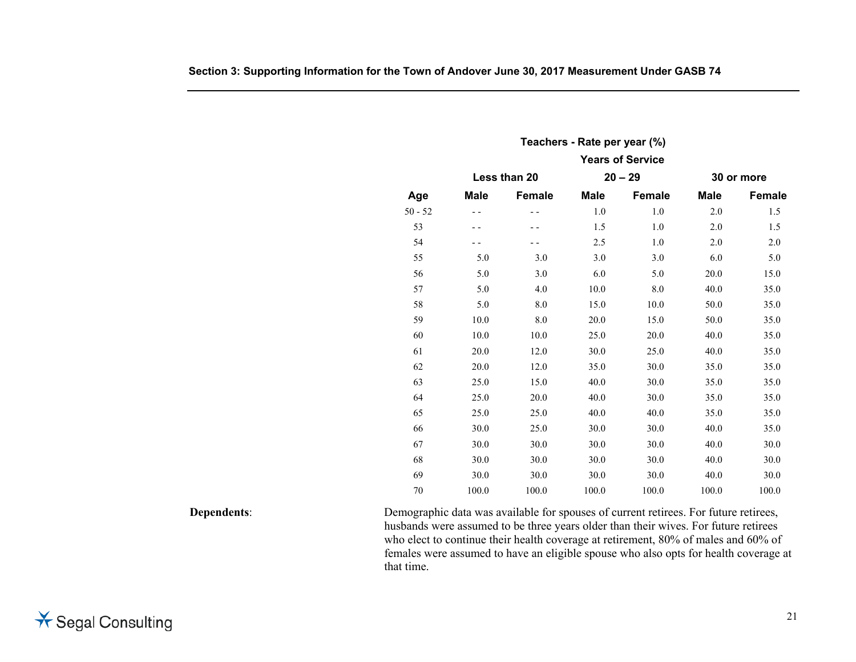| Teachers - Rate per year (%) |             |              |             |                         |         |            |
|------------------------------|-------------|--------------|-------------|-------------------------|---------|------------|
|                              |             |              |             | <b>Years of Service</b> |         |            |
|                              |             | Less than 20 |             | $20 - 29$               |         | 30 or more |
| Age                          | <b>Male</b> | Female       | <b>Male</b> | Female                  | Male    | Female     |
| $50 - 52$                    | $ -$        | $ -$         | $1.0\,$     | 1.0                     | $2.0\,$ | 1.5        |
| 53                           | $ -$        | - -          | 1.5         | 1.0                     | $2.0\,$ | 1.5        |
| 54                           | - -         | - -          | 2.5         | $1.0\,$                 | $2.0\,$ | $2.0\,$    |
| 55                           | $5.0\,$     | 3.0          | 3.0         | 3.0                     | 6.0     | 5.0        |
| 56                           | 5.0         | 3.0          | 6.0         | 5.0                     | 20.0    | 15.0       |
| 57                           | 5.0         | 4.0          | 10.0        | 8.0                     | 40.0    | 35.0       |
| 58                           | $5.0\,$     | $8.0\,$      | 15.0        | 10.0                    | 50.0    | 35.0       |
| 59                           | $10.0\,$    | $\ \, 8.0$   | 20.0        | 15.0                    | 50.0    | 35.0       |
| 60                           | 10.0        | 10.0         | 25.0        | 20.0                    | 40.0    | 35.0       |
| 61                           | 20.0        | 12.0         | 30.0        | 25.0                    | 40.0    | 35.0       |
| 62                           | 20.0        | 12.0         | 35.0        | 30.0                    | 35.0    | 35.0       |
| 63                           | 25.0        | 15.0         | 40.0        | 30.0                    | 35.0    | 35.0       |
| 64                           | 25.0        | 20.0         | 40.0        | 30.0                    | 35.0    | 35.0       |
| 65                           | 25.0        | 25.0         | 40.0        | 40.0                    | 35.0    | 35.0       |
| 66                           | 30.0        | 25.0         | 30.0        | 30.0                    | 40.0    | 35.0       |
| 67                           | 30.0        | 30.0         | 30.0        | 30.0                    | 40.0    | 30.0       |
| 68                           | $30.0\,$    | 30.0         | 30.0        | 30.0                    | 40.0    | 30.0       |
| 69                           | $30.0\,$    | 30.0         | 30.0        | 30.0                    | 40.0    | 30.0       |
| $70\,$                       | 100.0       | 100.0        | 100.0       | 100.0                   | 100.0   | 100.0      |

**Dependents**: Demographic data was available for spouses of current retirees. For future retirees, husbands were assumed to be three years older than their wives. For future retirees who elect to continue their health coverage at retirement, 80% of males and 60% of females were assumed to have an eligible spouse who also opts for health coverage at that time.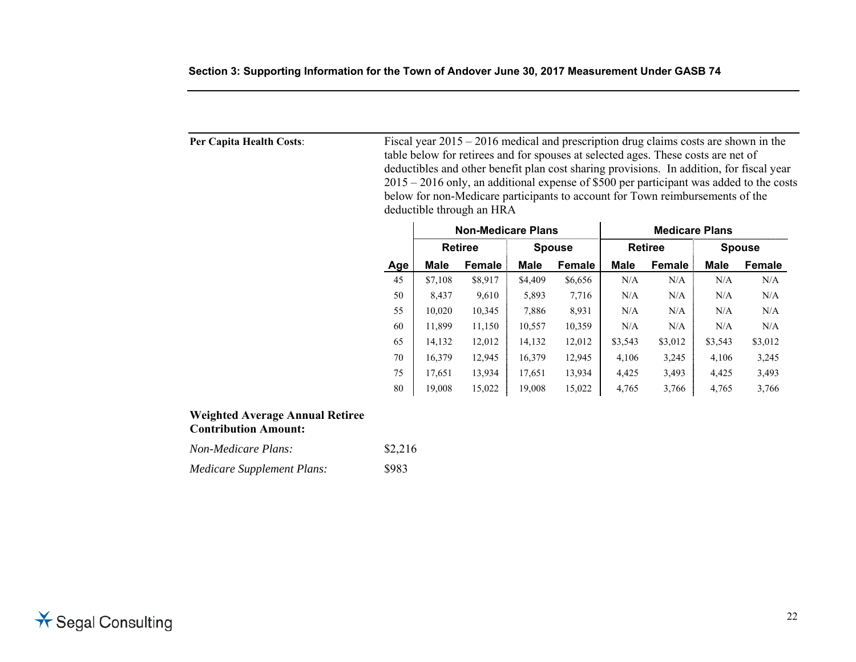| Per Capita Health Costs: |            |         | deductible through an HRA |             | Fiscal year $2015 - 2016$ medical and prescription drug claims costs are shown in the<br>table below for retirees and for spouses at selected ages. These costs are net of<br>below for non-Medicare participants to account for Town reimbursements of the |         |                       |             | deductibles and other benefit plan cost sharing provisions. In addition, for fiscal year<br>$2015 - 2016$ only, an additional expense of \$500 per participant was added to the costs |
|--------------------------|------------|---------|---------------------------|-------------|-------------------------------------------------------------------------------------------------------------------------------------------------------------------------------------------------------------------------------------------------------------|---------|-----------------------|-------------|---------------------------------------------------------------------------------------------------------------------------------------------------------------------------------------|
|                          |            |         | <b>Non-Medicare Plans</b> |             |                                                                                                                                                                                                                                                             |         | <b>Medicare Plans</b> |             |                                                                                                                                                                                       |
|                          |            |         | <b>Retiree</b>            |             | <b>Spouse</b>                                                                                                                                                                                                                                               |         | <b>Retiree</b>        |             | <b>Spouse</b>                                                                                                                                                                         |
|                          | <b>Age</b> | Male    | Female                    | <b>Male</b> | <b>Female</b>                                                                                                                                                                                                                                               | Male    | Female                | <b>Male</b> | Female                                                                                                                                                                                |
|                          | 45         | \$7,108 | \$8,917                   | \$4,409     | \$6,656                                                                                                                                                                                                                                                     | N/A     | N/A                   | N/A         | N/A                                                                                                                                                                                   |
|                          | 50         | 8,437   | 9,610                     | 5,893       | 7,716                                                                                                                                                                                                                                                       | N/A     | N/A                   | N/A         | N/A                                                                                                                                                                                   |
|                          | 55         | 10,020  | 10,345                    | 7,886       | 8,931                                                                                                                                                                                                                                                       | N/A     | N/A                   | N/A         | N/A                                                                                                                                                                                   |
|                          | 60         | 11,899  | 11,150                    | 10,557      | 10,359                                                                                                                                                                                                                                                      | N/A     | N/A                   | N/A         | N/A                                                                                                                                                                                   |
|                          | 65         | 14,132  | 12,012                    | 14,132      | 12,012                                                                                                                                                                                                                                                      | \$3,543 | \$3,012               | \$3,543     | \$3,012                                                                                                                                                                               |
|                          | 70         | 16,379  | 12,945                    | 16,379      | 12,945                                                                                                                                                                                                                                                      | 4,106   | 3,245                 | 4,106       | 3,245                                                                                                                                                                                 |
|                          | 75         | 17,651  | 13,934                    | 17,651      | 13,934                                                                                                                                                                                                                                                      | 4,425   | 3,493                 | 4,425       | 3,493                                                                                                                                                                                 |
|                          | 80         | 19,008  | 15,022                    | 19,008      | 15,022                                                                                                                                                                                                                                                      | 4,765   | 3,766                 | 4,765       | 3,766                                                                                                                                                                                 |

# **Weighted Average Annual Retiree Contribution Amount:**

| <i>Non-Medicare Plans:</i> | \$2,216 |
|----------------------------|---------|
| Medicare Supplement Plans: | \$983   |

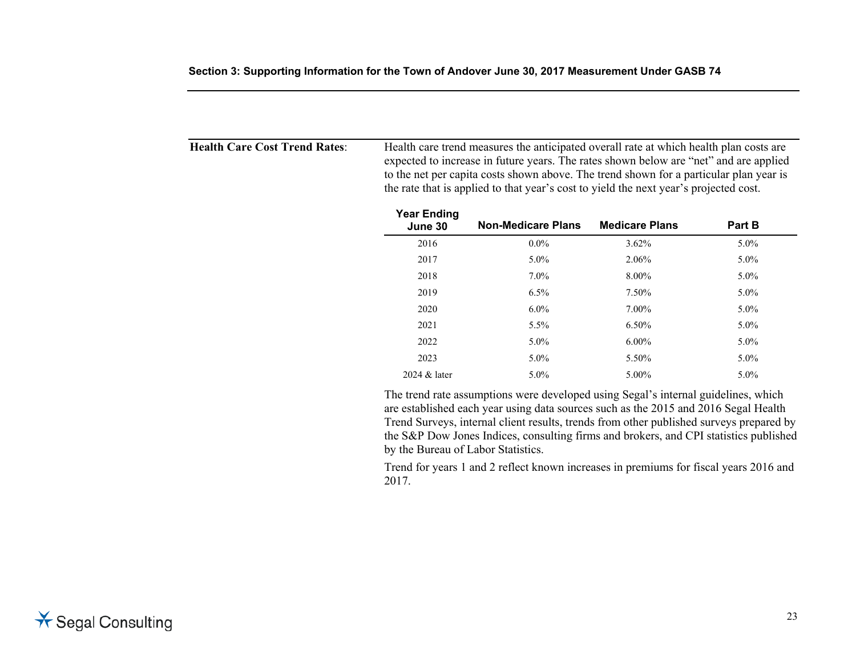| <b>Health Care Cost Trend Rates:</b> | Health care trend measures the anticipated overall rate at which health plan costs are |
|--------------------------------------|----------------------------------------------------------------------------------------|
|                                      | expected to increase in future years. The rates shown below are "net" and are applied  |
|                                      | to the net per capita costs shown above. The trend shown for a particular plan year is |
|                                      | the rate that is applied to that year's cost to yield the next year's projected cost.  |
|                                      |                                                                                        |

| <b>Year Ending</b><br>June 30 | <b>Non-Medicare Plans</b> | <b>Medicare Plans</b> | Part B  |
|-------------------------------|---------------------------|-----------------------|---------|
| 2016                          | $0.0\%$                   | 3.62%                 | 5.0%    |
| 2017                          | 5.0%                      | 2.06%                 | 5.0%    |
| 2018                          | $7.0\%$                   | 8.00%                 | 5.0%    |
| 2019                          | 6.5%                      | 7.50%                 | 5.0%    |
| 2020                          | $6.0\%$                   | 7.00%                 | $5.0\%$ |
| 2021                          | 5.5%                      | 6.50%                 | $5.0\%$ |
| 2022                          | $5.0\%$                   | $6.00\%$              | 5.0%    |
| 2023                          | $5.0\%$                   | 5.50%                 | $5.0\%$ |
| 2024 & later                  | $5.0\%$                   | 5.00%                 | 5.0%    |

 The trend rate assumptions were developed using Segal's internal guidelines, which are established each year using data sources such as the 2015 and 2016 Segal Health Trend Surveys, internal client results, trends from other published surveys prepared by the S&P Dow Jones Indices, consulting firms and brokers, and CPI statistics published by the Bureau of Labor Statistics.

 Trend for years 1 and 2 reflect known increases in premiums for fiscal years 2016 and 2017.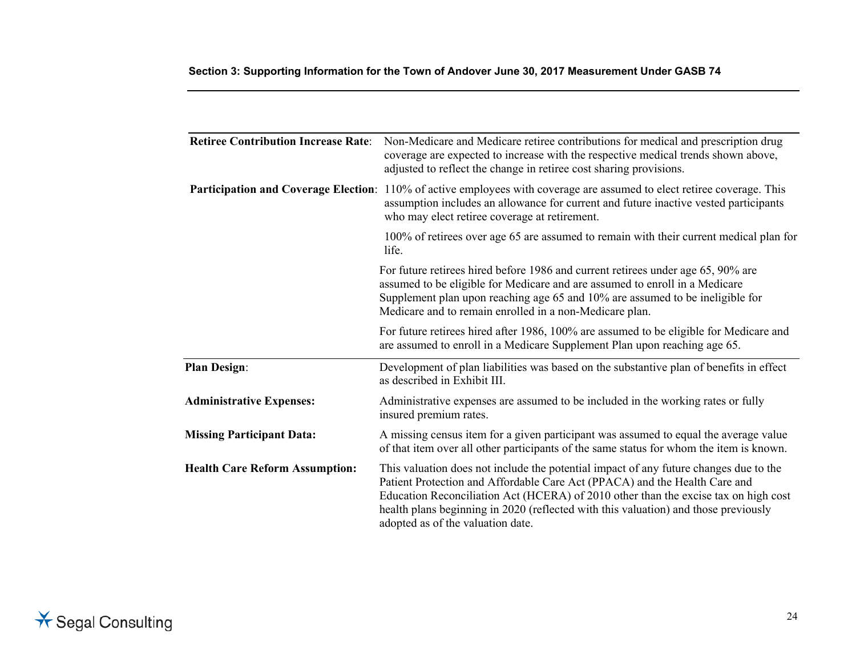| <b>Retiree Contribution Increase Rate:</b> | Non-Medicare and Medicare retiree contributions for medical and prescription drug<br>coverage are expected to increase with the respective medical trends shown above,<br>adjusted to reflect the change in retiree cost sharing provisions.                                                                                                                                           |
|--------------------------------------------|----------------------------------------------------------------------------------------------------------------------------------------------------------------------------------------------------------------------------------------------------------------------------------------------------------------------------------------------------------------------------------------|
|                                            | Participation and Coverage Election: 110% of active employees with coverage are assumed to elect retiree coverage. This<br>assumption includes an allowance for current and future inactive vested participants<br>who may elect retiree coverage at retirement.                                                                                                                       |
|                                            | 100% of retirees over age 65 are assumed to remain with their current medical plan for<br>life.                                                                                                                                                                                                                                                                                        |
|                                            | For future retirees hired before 1986 and current retirees under age 65, 90% are<br>assumed to be eligible for Medicare and are assumed to enroll in a Medicare<br>Supplement plan upon reaching age 65 and 10% are assumed to be ineligible for<br>Medicare and to remain enrolled in a non-Medicare plan.                                                                            |
|                                            | For future retirees hired after 1986, 100% are assumed to be eligible for Medicare and<br>are assumed to enroll in a Medicare Supplement Plan upon reaching age 65.                                                                                                                                                                                                                    |
| <b>Plan Design:</b>                        | Development of plan liabilities was based on the substantive plan of benefits in effect<br>as described in Exhibit III.                                                                                                                                                                                                                                                                |
| <b>Administrative Expenses:</b>            | Administrative expenses are assumed to be included in the working rates or fully<br>insured premium rates.                                                                                                                                                                                                                                                                             |
| <b>Missing Participant Data:</b>           | A missing census item for a given participant was assumed to equal the average value<br>of that item over all other participants of the same status for whom the item is known.                                                                                                                                                                                                        |
| <b>Health Care Reform Assumption:</b>      | This valuation does not include the potential impact of any future changes due to the<br>Patient Protection and Affordable Care Act (PPACA) and the Health Care and<br>Education Reconciliation Act (HCERA) of 2010 other than the excise tax on high cost<br>health plans beginning in 2020 (reflected with this valuation) and those previously<br>adopted as of the valuation date. |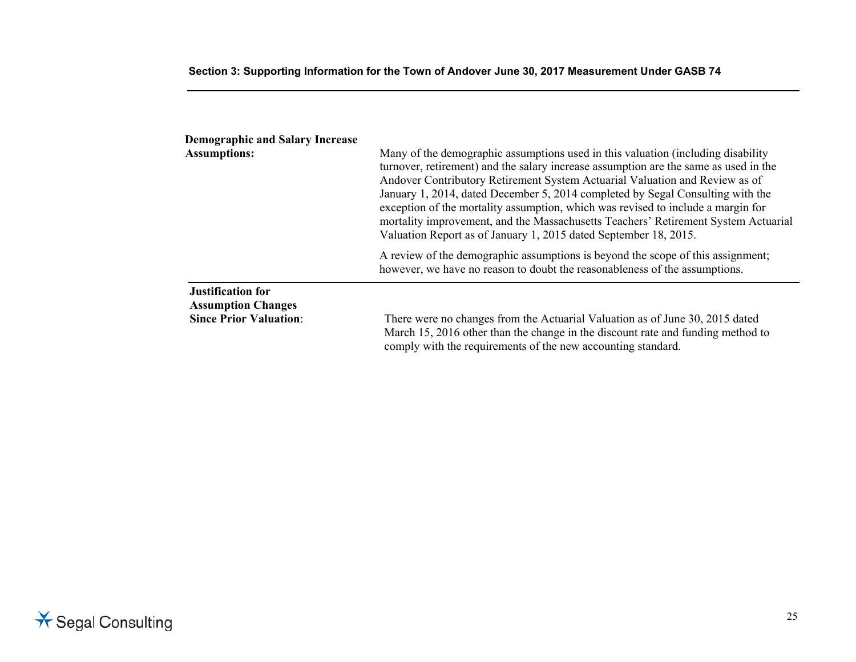| <b>Demographic and Salary Increase</b><br><b>Assumptions:</b>                          | Many of the demographic assumptions used in this valuation (including disability<br>turnover, retirement) and the salary increase assumption are the same as used in the<br>Andover Contributory Retirement System Actuarial Valuation and Review as of<br>January 1, 2014, dated December 5, 2014 completed by Segal Consulting with the<br>exception of the mortality assumption, which was revised to include a margin for<br>mortality improvement, and the Massachusetts Teachers' Retirement System Actuarial<br>Valuation Report as of January 1, 2015 dated September 18, 2015. |
|----------------------------------------------------------------------------------------|-----------------------------------------------------------------------------------------------------------------------------------------------------------------------------------------------------------------------------------------------------------------------------------------------------------------------------------------------------------------------------------------------------------------------------------------------------------------------------------------------------------------------------------------------------------------------------------------|
|                                                                                        | A review of the demographic assumptions is beyond the scope of this assignment;<br>however, we have no reason to doubt the reasonableness of the assumptions.                                                                                                                                                                                                                                                                                                                                                                                                                           |
| <b>Justification for</b><br><b>Assumption Changes</b><br><b>Since Prior Valuation:</b> | There were no changes from the Actuarial Valuation as of June 30, 2015 dated<br>March 15, 2016 other than the change in the discount rate and funding method to<br>comply with the requirements of the new accounting standard.                                                                                                                                                                                                                                                                                                                                                         |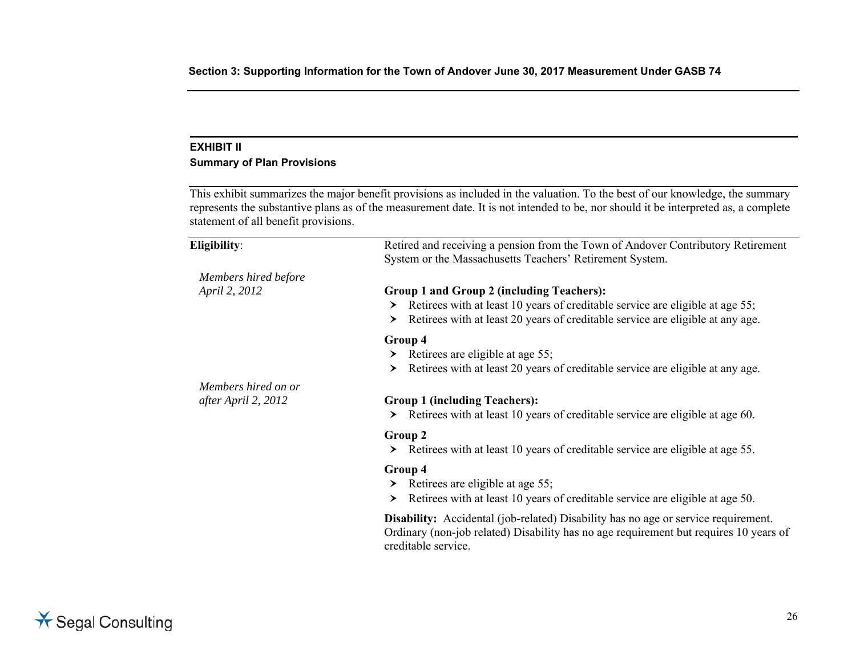## **EXHIBIT II**

# **Summary of Plan Provisions**

This exhibit summarizes the major benefit provisions as included in the valuation. To the best of our knowledge, the summary represents the substantive plans as of the measurement date. It is not intended to be, nor should it be interpreted as, a complete statement of all benefit provisions.

| Eligibility:         | Retired and receiving a pension from the Town of Andover Contributory Retirement<br>System or the Massachusetts Teachers' Retirement System.                                                              |
|----------------------|-----------------------------------------------------------------------------------------------------------------------------------------------------------------------------------------------------------|
| Members hired before |                                                                                                                                                                                                           |
| April 2, 2012        | Group 1 and Group 2 (including Teachers):                                                                                                                                                                 |
|                      | Retirees with at least 10 years of creditable service are eligible at age 55;<br>≻                                                                                                                        |
|                      | Retirees with at least 20 years of creditable service are eligible at any age.<br>≻                                                                                                                       |
|                      | Group 4                                                                                                                                                                                                   |
|                      | Retirees are eligible at age 55;<br>≻                                                                                                                                                                     |
|                      | Retirees with at least 20 years of creditable service are eligible at any age.<br>≻                                                                                                                       |
| Members hired on or  |                                                                                                                                                                                                           |
| after April 2, 2012  | <b>Group 1 (including Teachers):</b>                                                                                                                                                                      |
|                      | Retirees with at least 10 years of creditable service are eligible at age 60.<br>≻                                                                                                                        |
|                      | Group 2                                                                                                                                                                                                   |
|                      | Retirees with at least 10 years of creditable service are eligible at age 55.<br>≻                                                                                                                        |
|                      | Group 4                                                                                                                                                                                                   |
|                      | Retirees are eligible at age 55;<br>≻                                                                                                                                                                     |
|                      | Retirees with at least 10 years of creditable service are eligible at age 50.<br>≻                                                                                                                        |
|                      | <b>Disability:</b> Accidental (job-related) Disability has no age or service requirement.<br>Ordinary (non-job related) Disability has no age requirement but requires 10 years of<br>creditable service. |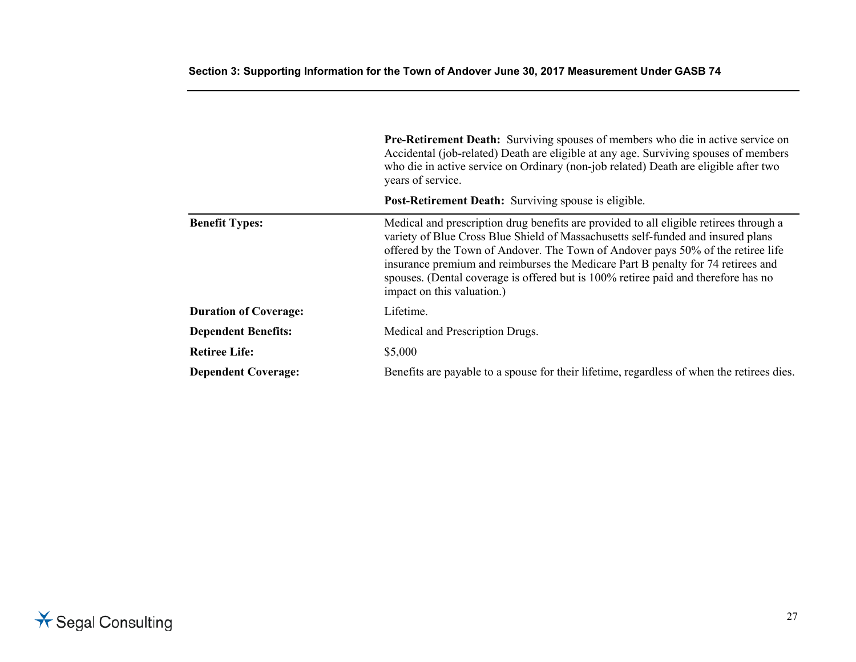|                              | <b>Pre-Retirement Death:</b> Surviving spouses of members who die in active service on<br>Accidental (job-related) Death are eligible at any age. Surviving spouses of members<br>who die in active service on Ordinary (non-job related) Death are eligible after two<br>years of service.                                                                                                                                                                            |
|------------------------------|------------------------------------------------------------------------------------------------------------------------------------------------------------------------------------------------------------------------------------------------------------------------------------------------------------------------------------------------------------------------------------------------------------------------------------------------------------------------|
|                              | <b>Post-Retirement Death:</b> Surviving spouse is eligible.                                                                                                                                                                                                                                                                                                                                                                                                            |
| <b>Benefit Types:</b>        | Medical and prescription drug benefits are provided to all eligible retirees through a<br>variety of Blue Cross Blue Shield of Massachusetts self-funded and insured plans<br>offered by the Town of Andover. The Town of Andover pays 50% of the retiree life<br>insurance premium and reimburses the Medicare Part B penalty for 74 retirees and<br>spouses. (Dental coverage is offered but is 100% retiree paid and therefore has no<br>impact on this valuation.) |
| <b>Duration of Coverage:</b> | Lifetime.                                                                                                                                                                                                                                                                                                                                                                                                                                                              |
| <b>Dependent Benefits:</b>   | Medical and Prescription Drugs.                                                                                                                                                                                                                                                                                                                                                                                                                                        |
| <b>Retiree Life:</b>         | \$5,000                                                                                                                                                                                                                                                                                                                                                                                                                                                                |
| <b>Dependent Coverage:</b>   | Benefits are payable to a spouse for their lifetime, regardless of when the retirees dies.                                                                                                                                                                                                                                                                                                                                                                             |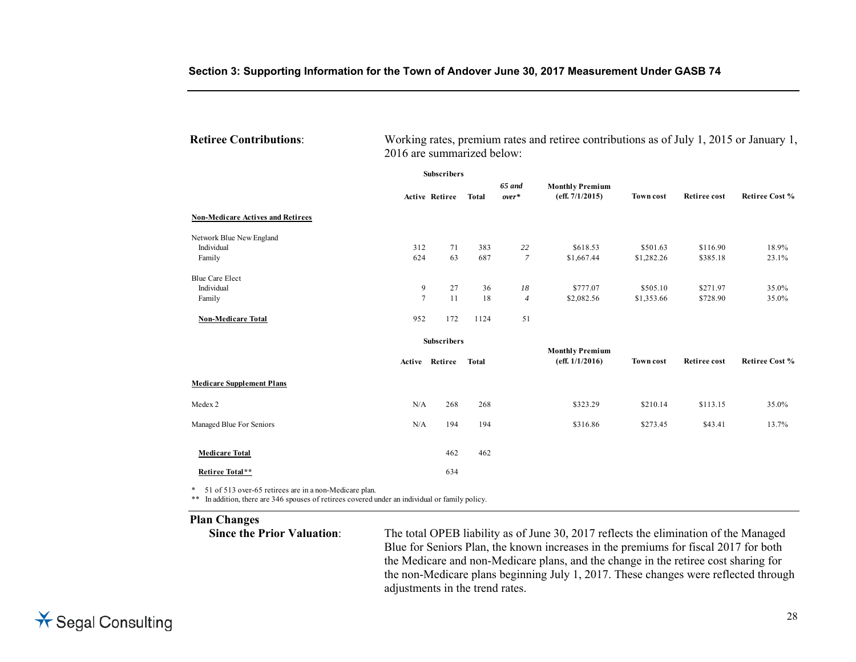| <b>Retiree Contributions:</b> | Working rates, premium rates and retiree contributions as of July 1, 2015 or January 1, |
|-------------------------------|-----------------------------------------------------------------------------------------|
|                               | 2016 are summarized below:                                                              |

|                                          | <b>Subscribers</b> |                    |              |                   |                                           |                  |                     |                       |
|------------------------------------------|--------------------|--------------------|--------------|-------------------|-------------------------------------------|------------------|---------------------|-----------------------|
|                                          |                    | Active Retiree     | <b>Total</b> | 65 and<br>$over*$ | <b>Monthly Premium</b><br>(eff. 7/1/2015) | <b>Town cost</b> | <b>Retiree cost</b> | <b>Retiree Cost %</b> |
| <b>Non-Medicare Actives and Retirees</b> |                    |                    |              |                   |                                           |                  |                     |                       |
| Network Blue New England                 |                    |                    |              |                   |                                           |                  |                     |                       |
| Individual                               | 312                | 71                 | 383          | 22                | \$618.53                                  | \$501.63         | \$116.90            | 18.9%                 |
| Family                                   | 624                | 63                 | 687          | $\overline{7}$    | \$1,667.44                                | \$1,282.26       | \$385.18            | 23.1%                 |
| <b>Blue Care Elect</b>                   |                    |                    |              |                   |                                           |                  |                     |                       |
| Individual                               | 9                  | 27                 | 36           | 18                | \$777.07                                  | \$505.10         | \$271.97            | 35.0%                 |
| Family                                   | $\overline{7}$     | 11                 | 18           | $\overline{4}$    | \$2,082.56                                | \$1,353.66       | \$728.90            | 35.0%                 |
| <b>Non-Medicare Total</b>                | 952                | 172                | 1124         | 51                |                                           |                  |                     |                       |
|                                          |                    | <b>Subscribers</b> |              |                   |                                           |                  |                     |                       |
|                                          |                    | Active Retiree     | <b>Total</b> |                   | <b>Monthly Premium</b><br>(eff. 1/1/2016) | <b>Town cost</b> | <b>Retiree cost</b> | <b>Retiree Cost %</b> |
| <b>Medicare Supplement Plans</b>         |                    |                    |              |                   |                                           |                  |                     |                       |
| Medex 2                                  | N/A                | 268                | 268          |                   | \$323.29                                  | \$210.14         | \$113.15            | 35.0%                 |
| Managed Blue For Seniors                 | N/A                | 194                | 194          |                   | \$316.86                                  | \$273.45         | \$43.41             | 13.7%                 |
| <b>Medicare Total</b>                    |                    | 462                | 462          |                   |                                           |                  |                     |                       |
| Retiree Total**                          |                    | 634                |              |                   |                                           |                  |                     |                       |

\* 51 of 513 over-65 retirees are in a non-Medicare plan.

\*\* In addition, there are 346 spouses of retirees covered under an individual or family policy.

**Plan Changes** 

The total OPEB liability as of June 30, 2017 reflects the elimination of the Managed Blue for Seniors Plan, the known increases in the premiums for fiscal 2017 for both the Medicare and non-Medicare plans, and the change in the retiree cost sharing for the non-Medicare plans beginning July 1, 2017. These changes were reflected through adjustments in the trend rates.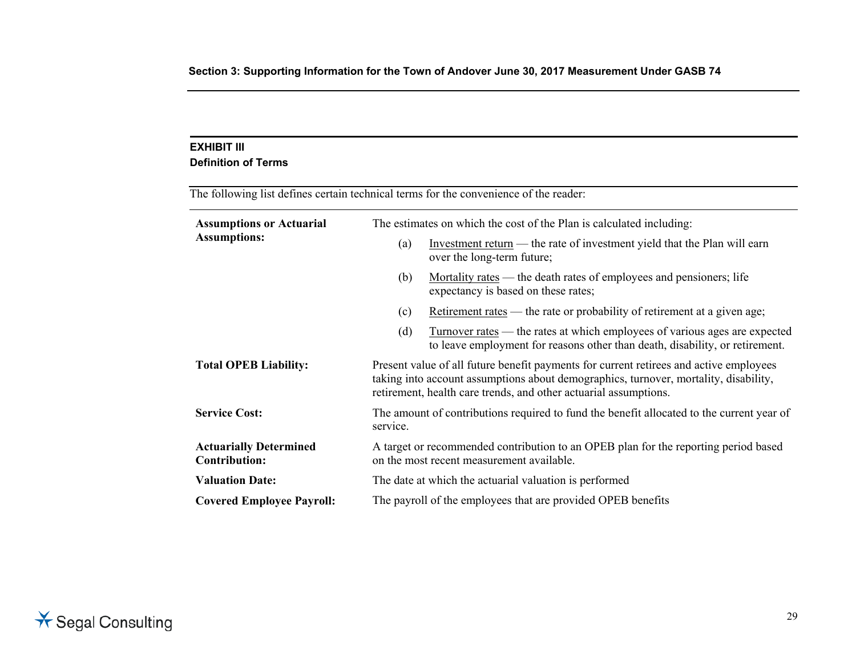## **EXHIBIT III**

#### **Definition of Terms**

| The following list defines certain technical terms for the convenience of the reader: |                                                                                                                                                                                                                                                    |  |  |  |  |
|---------------------------------------------------------------------------------------|----------------------------------------------------------------------------------------------------------------------------------------------------------------------------------------------------------------------------------------------------|--|--|--|--|
| <b>Assumptions or Actuarial</b><br><b>Assumptions:</b>                                | The estimates on which the cost of the Plan is calculated including:                                                                                                                                                                               |  |  |  |  |
|                                                                                       | Investment return $-$ the rate of investment yield that the Plan will earn<br>(a)<br>over the long-term future;                                                                                                                                    |  |  |  |  |
|                                                                                       | Mortality rates — the death rates of employees and pensioners; life<br>(b)<br>expectancy is based on these rates;                                                                                                                                  |  |  |  |  |
|                                                                                       | Retirement rates — the rate or probability of retirement at a given age;<br>(c)                                                                                                                                                                    |  |  |  |  |
|                                                                                       | <u>Turnover rates</u> — the rates at which employees of various ages are expected<br>(d)<br>to leave employment for reasons other than death, disability, or retirement.                                                                           |  |  |  |  |
| <b>Total OPEB Liability:</b>                                                          | Present value of all future benefit payments for current retirees and active employees<br>taking into account assumptions about demographics, turnover, mortality, disability,<br>retirement, health care trends, and other actuarial assumptions. |  |  |  |  |
| <b>Service Cost:</b>                                                                  | The amount of contributions required to fund the benefit allocated to the current year of<br>service.                                                                                                                                              |  |  |  |  |
| <b>Actuarially Determined</b><br><b>Contribution:</b>                                 | A target or recommended contribution to an OPEB plan for the reporting period based<br>on the most recent measurement available.                                                                                                                   |  |  |  |  |
| <b>Valuation Date:</b>                                                                | The date at which the actuarial valuation is performed                                                                                                                                                                                             |  |  |  |  |
| <b>Covered Employee Payroll:</b>                                                      | The payroll of the employees that are provided OPEB benefits                                                                                                                                                                                       |  |  |  |  |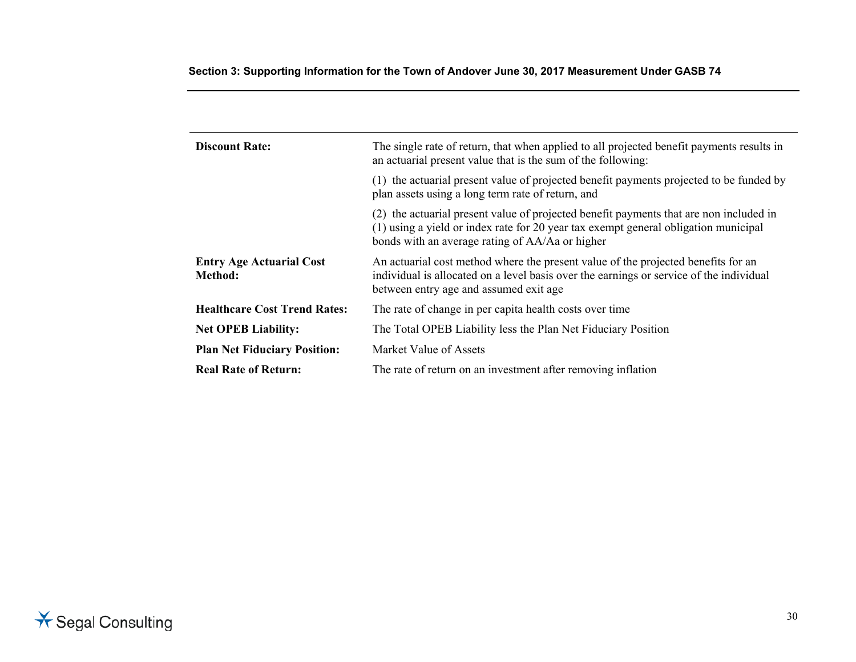| <b>Discount Rate:</b>                      | The single rate of return, that when applied to all projected benefit payments results in<br>an actuarial present value that is the sum of the following:                                                                        |  |  |
|--------------------------------------------|----------------------------------------------------------------------------------------------------------------------------------------------------------------------------------------------------------------------------------|--|--|
|                                            | (1) the actuarial present value of projected benefit payments projected to be funded by<br>plan assets using a long term rate of return, and                                                                                     |  |  |
|                                            | (2) the actuarial present value of projected benefit payments that are non included in<br>(1) using a yield or index rate for 20 year tax exempt general obligation municipal<br>bonds with an average rating of AA/Aa or higher |  |  |
| <b>Entry Age Actuarial Cost</b><br>Method: | An actuarial cost method where the present value of the projected benefits for an<br>individual is allocated on a level basis over the earnings or service of the individual<br>between entry age and assumed exit age           |  |  |
| <b>Healthcare Cost Trend Rates:</b>        | The rate of change in per capita health costs over time                                                                                                                                                                          |  |  |
| <b>Net OPEB Liability:</b>                 | The Total OPEB Liability less the Plan Net Fiduciary Position                                                                                                                                                                    |  |  |
| <b>Plan Net Fiduciary Position:</b>        | Market Value of Assets                                                                                                                                                                                                           |  |  |
| <b>Real Rate of Return:</b>                | The rate of return on an investment after removing inflation                                                                                                                                                                     |  |  |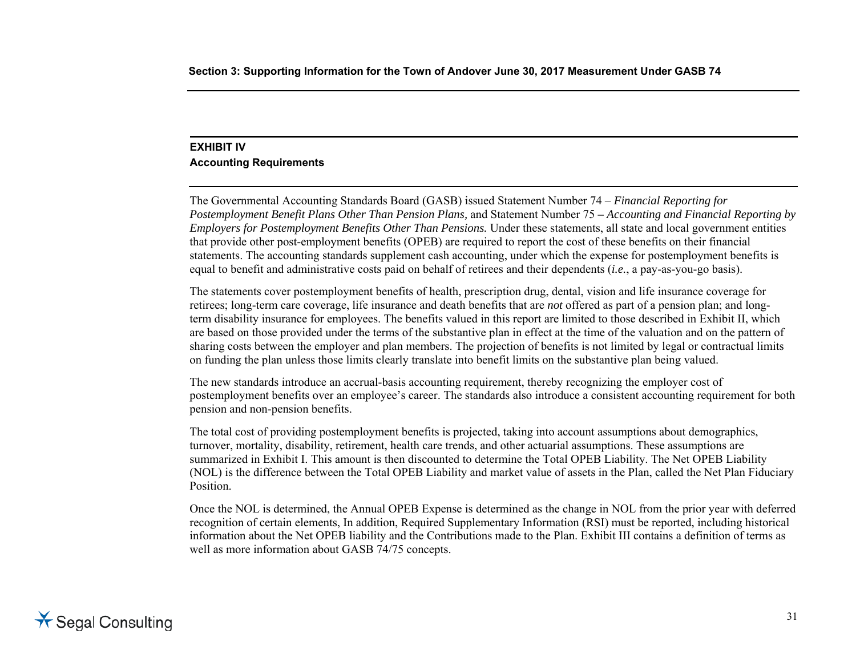# **EXHIBIT IV Accounting Requirements**

The Governmental Accounting Standards Board (GASB) issued Statement Number 74 – *Financial Reporting for Postemployment Benefit Plans Other Than Pension Plans,* and Statement Number 75 *– Accounting and Financial Reporting by Employers for Postemployment Benefits Other Than Pensions.* Under these statements, all state and local government entities that provide other post-employment benefits (OPEB) are required to report the cost of these benefits on their financial statements. The accounting standards supplement cash accounting, under which the expense for postemployment benefits is equal to benefit and administrative costs paid on behalf of retirees and their dependents (*i.e.*, a pay-as-you-go basis).

The statements cover postemployment benefits of health, prescription drug, dental, vision and life insurance coverage for retirees; long-term care coverage, life insurance and death benefits that are *not* offered as part of a pension plan; and longterm disability insurance for employees. The benefits valued in this report are limited to those described in Exhibit II, which are based on those provided under the terms of the substantive plan in effect at the time of the valuation and on the pattern of sharing costs between the employer and plan members. The projection of benefits is not limited by legal or contractual limits on funding the plan unless those limits clearly translate into benefit limits on the substantive plan being valued.

The new standards introduce an accrual-basis accounting requirement, thereby recognizing the employer cost of postemployment benefits over an employee's career. The standards also introduce a consistent accounting requirement for both pension and non-pension benefits.

The total cost of providing postemployment benefits is projected, taking into account assumptions about demographics, turnover, mortality, disability, retirement, health care trends, and other actuarial assumptions. These assumptions are summarized in Exhibit I. This amount is then discounted to determine the Total OPEB Liability. The Net OPEB Liability (NOL) is the difference between the Total OPEB Liability and market value of assets in the Plan, called the Net Plan Fiduciary Position.

Once the NOL is determined, the Annual OPEB Expense is determined as the change in NOL from the prior year with deferred recognition of certain elements, In addition, Required Supplementary Information (RSI) must be reported, including historical information about the Net OPEB liability and the Contributions made to the Plan. Exhibit III contains a definition of terms as well as more information about GASB 74/75 concepts.